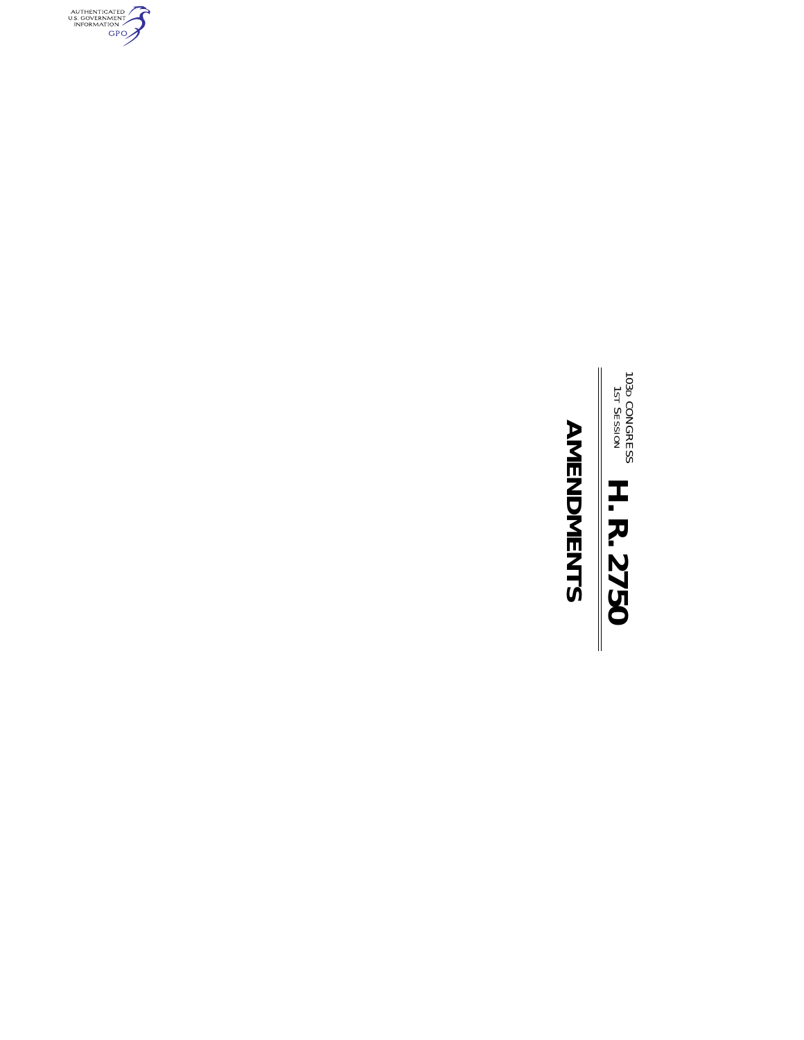

# **AMENDMENTS AMENDMENTS**

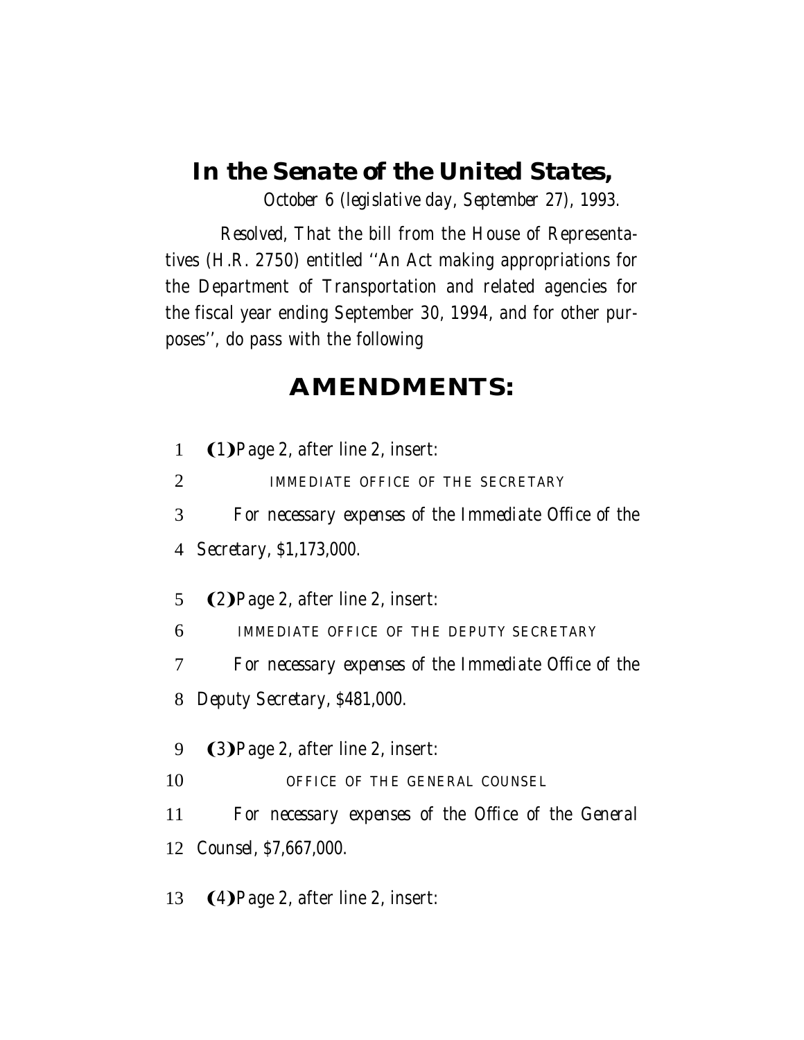## *In the Senate of the United States,*

*October 6 (legislative day, September 27), 1993.*

*Resolved,* That the bill from the House of Representatives (H.R. 2750) entitled ''An Act making appropriations for the Department of Transportation and related agencies for the fiscal year ending September 30, 1994, and for other purposes'', do pass with the following

## **AMENDMENTS:**

| $\mathbf{1}$ | $(1)$ Page 2, after line 2, insert:                   |
|--------------|-------------------------------------------------------|
| 2            | IMMEDIATE OFFICE OF THE SECRETARY                     |
| 3            | For necessary expenses of the Immediate Office of the |
| 4            | <i>Secretary, \$1,173,000.</i>                        |
| 5            | <b>(2)</b> Page 2, after line 2, insert:              |
| 6            | IMMEDIATE OFFICE OF THE DEPUTY SECRETARY              |
| 7            | For necessary expenses of the Immediate Office of the |
| 8            | Deputy Secretary, \$481,000.                          |
| 9            | <b>(3)</b> Page 2, after line 2, insert:              |
| 10           | OFFICE OF THE GENERAL COUNSEL                         |
| 11           | For necessary expenses of the Office of the General   |
|              | 12 <i>Counsel, \$7,667,000.</i>                       |
| 13           | <b>(4)</b> Page 2, after line 2, insert:              |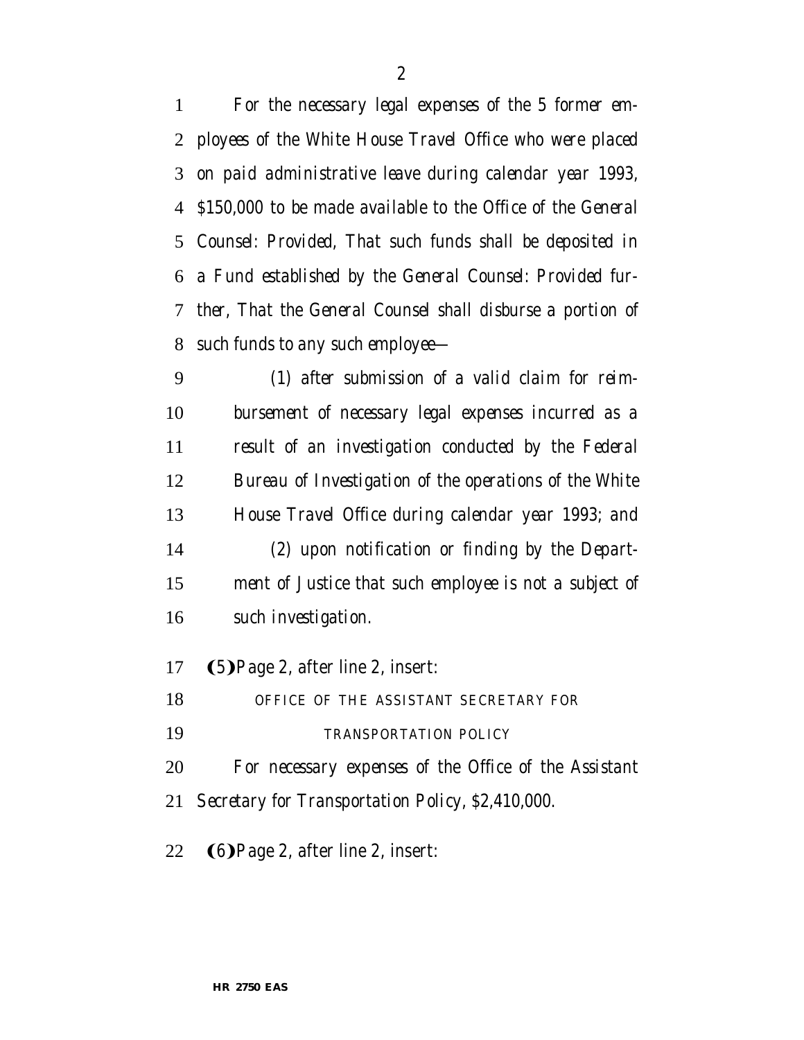*For the necessary legal expenses of the 5 former em- ployees of the White House Travel Office who were placed on paid administrative leave during calendar year 1993, \$150,000 to be made available to the Office of the General Counsel: Provided, That such funds shall be deposited in a Fund established by the General Counsel: Provided fur- ther, That the General Counsel shall disburse a portion of such funds to any such employee—*

 *(1) after submission of a valid claim for reim- bursement of necessary legal expenses incurred as a result of an investigation conducted by the Federal Bureau of Investigation of the operations of the White House Travel Office during calendar year 1993; and (2) upon notification or finding by the Depart- ment of Justice that such employee is not a subject of such investigation.*

17 (5) Page 2, after line 2, insert:

- *OFFICE OF THE ASSISTANT SECRETARY FOR*
- *TRANSPORTATION POLICY*

*For necessary expenses of the Office of the Assistant*

- *Secretary for Transportation Policy, \$2,410,000.*
- 22  $\bigcirc$  (6) Page 2, after line 2, insert: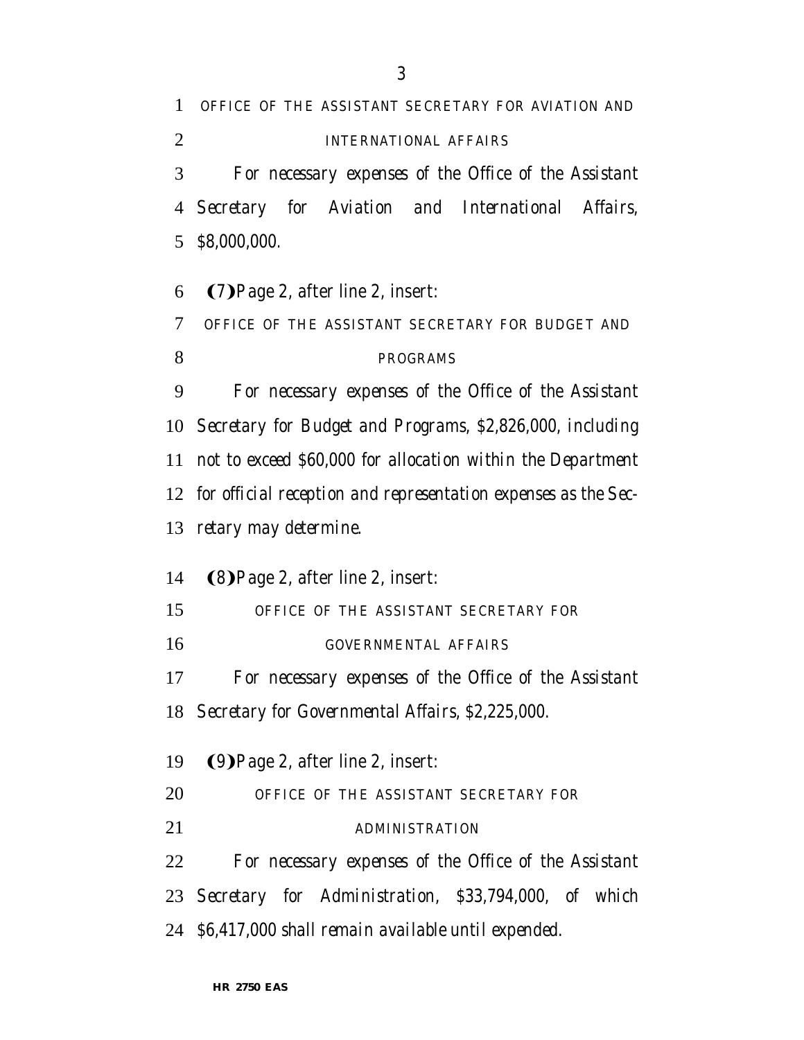*OFFICE OF THE ASSISTANT SECRETARY FOR AVIATION AND INTERNATIONAL AFFAIRS For necessary expenses of the Office of the Assistant Secretary for Aviation and International Affairs, \$8,000,000.*

6 (7) Page 2, after line 2, insert: *OFFICE OF THE ASSISTANT SECRETARY FOR BUDGET AND PROGRAMS For necessary expenses of the Office of the Assistant Secretary for Budget and Programs, \$2,826,000, including not to exceed \$60,000 for allocation within the Department for official reception and representation expenses as the Sec-retary may determine.*

14 (8) Page 2, after line 2, insert: *OFFICE OF THE ASSISTANT SECRETARY FOR GOVERNMENTAL AFFAIRS For necessary expenses of the Office of the Assistant Secretary for Governmental Affairs, \$2,225,000.* 19 (9) Page 2, after line 2, insert: *OFFICE OF THE ASSISTANT SECRETARY FOR ADMINISTRATION For necessary expenses of the Office of the Assistant Secretary for Administration, \$33,794,000, of which*

*\$6,417,000 shall remain available until expended.*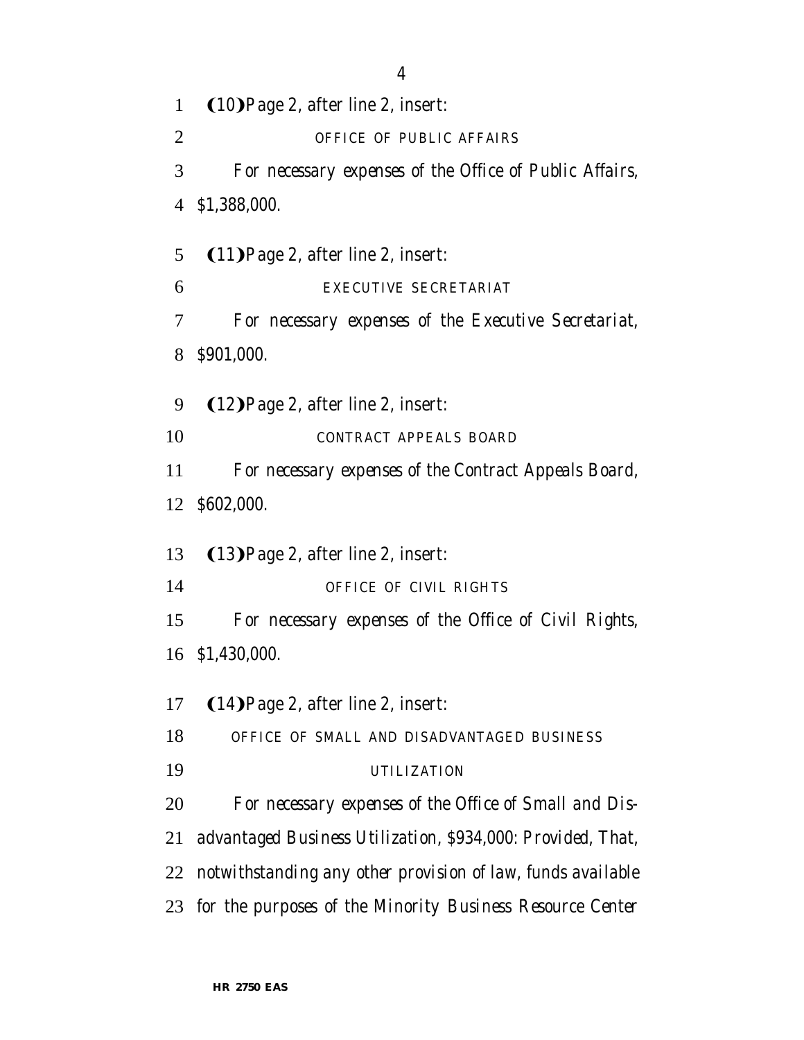1 (10) Page 2, after line 2, insert: *OFFICE OF PUBLIC AFFAIRS For necessary expenses of the Office of Public Affairs, \$1,388,000.* 5 (11) Page 2, after line 2, insert: *EXECUTIVE SECRETARIAT For necessary expenses of the Executive Secretariat, \$901,000.* 9 (12) Page 2, after line 2, insert: *CONTRACT APPEALS BOARD For necessary expenses of the Contract Appeals Board, \$602,000.* 13 (13) Page 2, after line 2, insert: *OFFICE OF CIVIL RIGHTS For necessary expenses of the Office of Civil Rights, \$1,430,000.*  $(14)$ Page 2, after line 2, insert: *OFFICE OF SMALL AND DISADVANTAGED BUSINESS UTILIZATION For necessary expenses of the Office of Small and Dis- advantaged Business Utilization, \$934,000: Provided, That, notwithstanding any other provision of law, funds available for the purposes of the Minority Business Resource Center*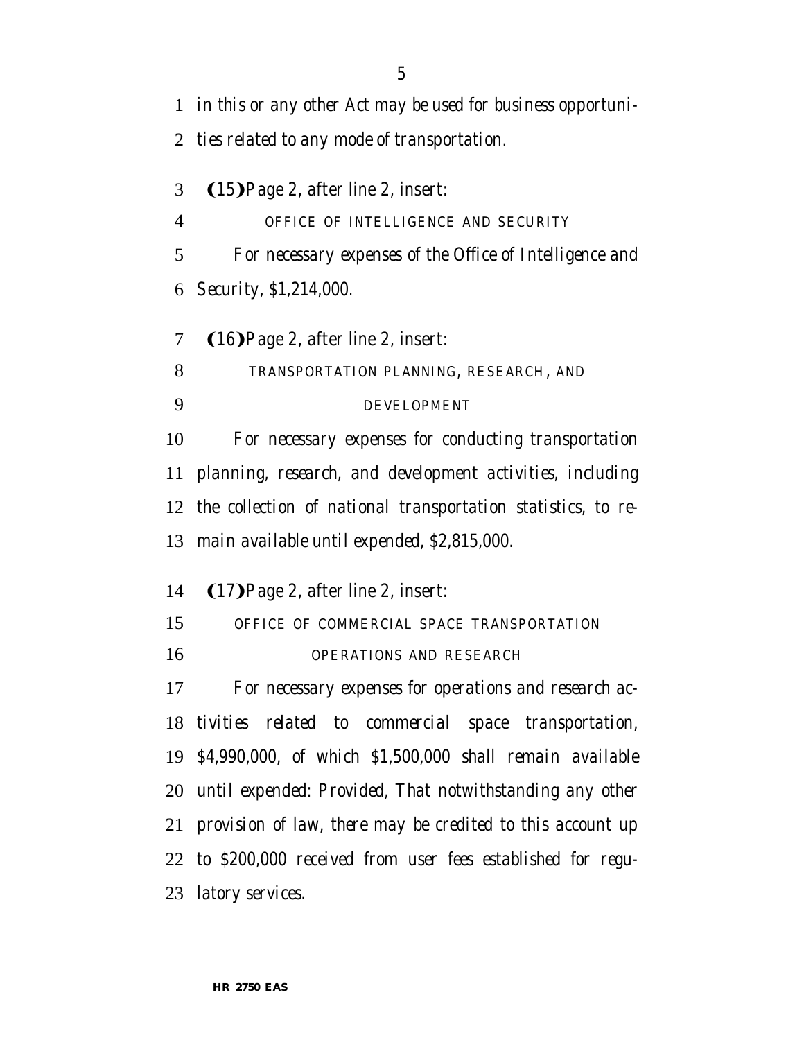*in this or any other Act may be used for business opportuni- ties related to any mode of transportation.*  $(15)$ Page 2, after line 2, insert: *OFFICE OF INTELLIGENCE AND SECURITY For necessary expenses of the Office of Intelligence and Security, \$1,214,000.*  $(16)$ Page 2, after line 2, insert: *TRANSPORTATION PLANNING, RESEARCH, AND DEVELOPMENT For necessary expenses for conducting transportation planning, research, and development activities, including the collection of national transportation statistics, to re- main available until expended, \$2,815,000.* 14 (17) Page 2, after line 2, insert: *OFFICE OF COMMERCIAL SPACE TRANSPORTATION OPERATIONS AND RESEARCH For necessary expenses for operations and research ac- tivities related to commercial space transportation, \$4,990,000, of which \$1,500,000 shall remain available until expended: Provided, That notwithstanding any other provision of law, there may be credited to this account up to \$200,000 received from user fees established for regu-*

*latory services.*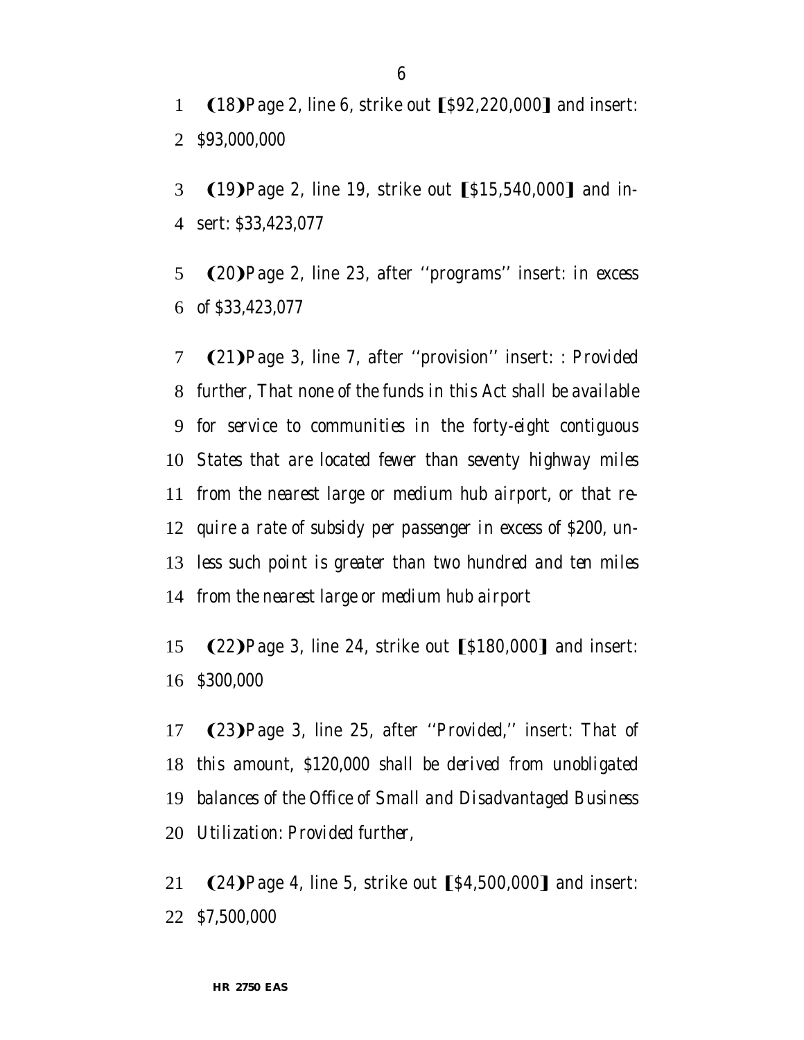1 (18) Page 2, line 6, strike out [\$92,220,000] and insert: *\$93,000,000*

3 (19) Page 2, line 19, strike out [\$15,540,000] and in-sert: *\$33,423,077*

**(20)**Page 2, line 23, after "programs" insert: *in excess of \$33,423,077*

7 (21) Page 3, line 7, after "provision" insert: *: Provided further, That none of the funds in this Act shall be available for service to communities in the forty-eight contiguous States that are located fewer than seventy highway miles from the nearest large or medium hub airport, or that re- quire a rate of subsidy per passenger in excess of \$200, un- less such point is greater than two hundred and ten miles from the nearest large or medium hub airport*

15 (22) Page 3, line 24, strike out [\$180,000] and insert: *\$300,000*

**(23)**Page 3, line 25, after "*Provided*," insert: *That of this amount, \$120,000 shall be derived from unobligated balances of the Office of Small and Disadvantaged Business Utilization: Provided further,*

21 (24) Page 4, line 5, strike out [\$4,500,000] and insert: *\$7,500,000*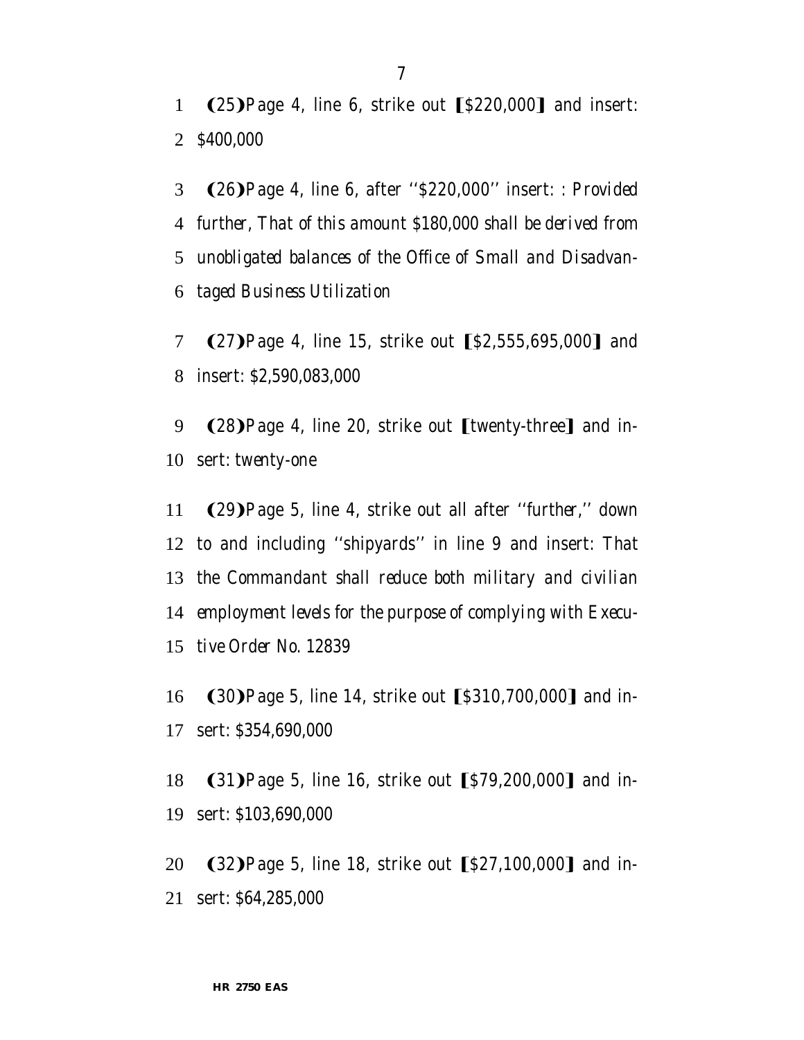1  $(25)$ Page 4, line 6, strike out  $\lceil $220,000 \rceil$  and insert: *\$400,000*

- **(26)**Page 4, line 6, after "\$220,000" insert: *: Provided further, That of this amount \$180,000 shall be derived from unobligated balances of the Office of Small and Disadvan-taged Business Utilization*
- 7 (27) Page 4, line 15, strike out [\$2,555,695,000] and insert: *\$2,590,083,000*
- 9 (28) Page 4, line 20, strike out [twenty-three] and in-sert: *twenty-one*
- **(29)**Page 5, line 4, strike out all after "*further*," down to and including ''shipyards'' in line 9 and insert: *That the Commandant shall reduce both military and civilian employment levels for the purpose of complying with Execu-tive Order No. 12839*
- 16 (30) Page 5, line 14, strike out [\$310,700,000] and in-sert: *\$354,690,000*
- 18 (31) Page 5, line 16, strike out [\$79,200,000] and in-sert: *\$103,690,000*
- 20  $(32)$  Page 5, line 18, strike out  $[$27,100,000]$  and in-sert: *\$64,285,000*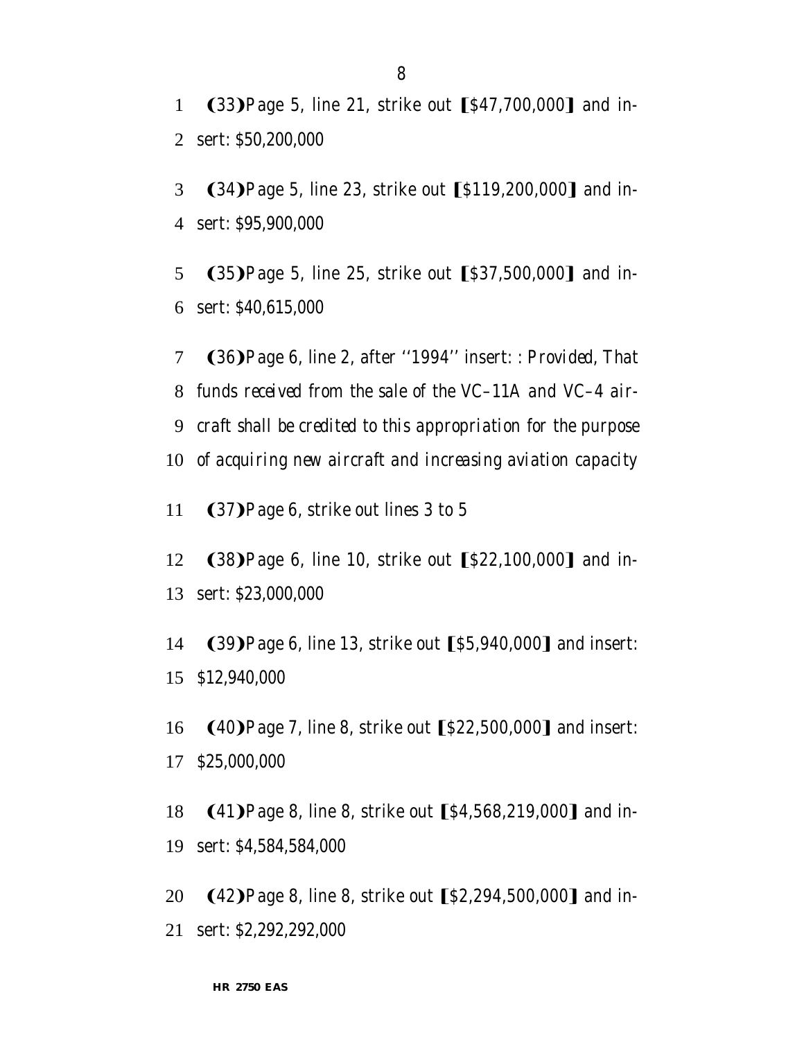1 (33) Page 5, line 21, strike out [\$47,700,000] and in-2 sert: *\$50,200,000*

3 (34) Page 5, line 23, strike out [\$119,200,000] and in-4 sert: *\$95,900,000*

5 (35) Page 5, line 25, strike out [\$37,500,000] and in-6 sert: *\$40,615,000*

7 (36) Page 6, line 2, after "1994" insert: *: Provided, That funds received from the sale of the VC–11A and VC–4 air- craft shall be credited to this appropriation for the purpose of acquiring new aircraft and increasing aviation capacity*

11 (37) Page 6, strike out lines 3 to 5

12 (38) Page 6, line 10, strike out [\$22,100,000] and in-13 sert: *\$23,000,000*

14 (39) Page 6, line 13, strike out [\$5,940,000] and insert: 15 *\$12,940,000*

16 (40) Page 7, line 8, strike out [\$22,500,000] and insert: 17 *\$25,000,000*

18 (41) Page 8, line 8, strike out [\$4,568,219,000] and in-19 sert: *\$4,584,584,000*

20 (42) Page 8, line 8, strike out [\$2,294,500,000] and in-21 sert: *\$2,292,292,000*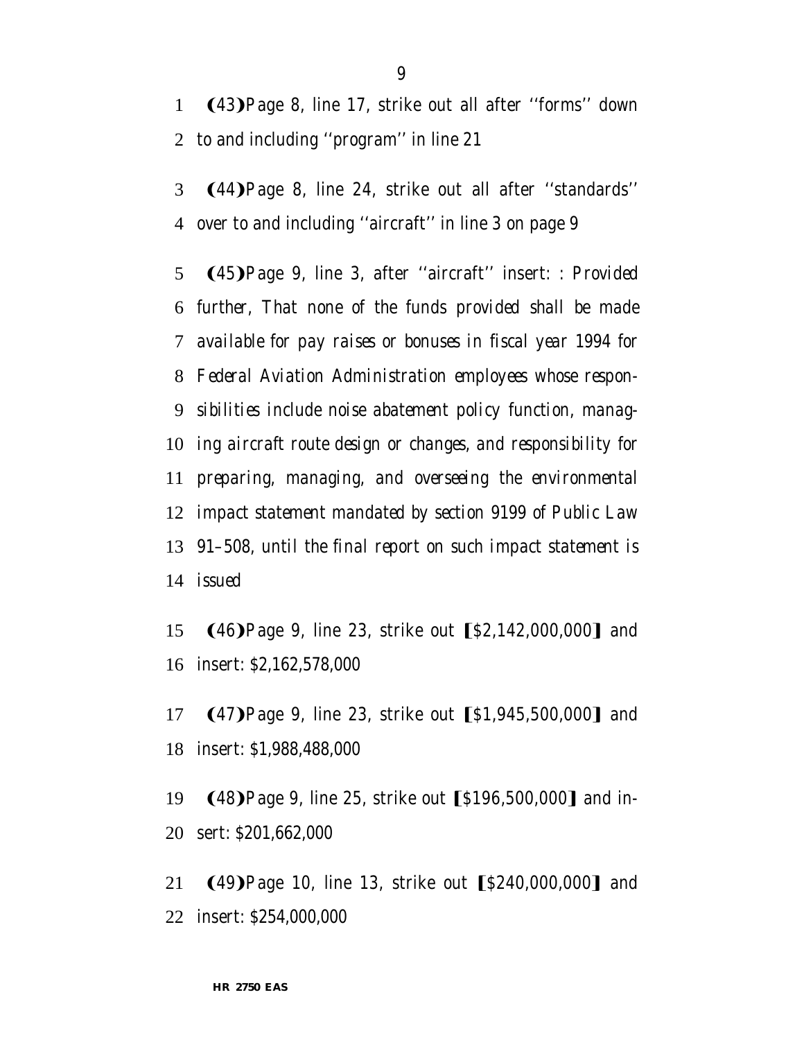**(43)**Page 8, line 17, strike out all after "forms" down to and including ''program'' in line 21

3 (44) Page 8, line 24, strike out all after "standards" over to and including ''aircraft'' in line 3 on page 9

**(45)**Page 9, line 3, after "aircraft" insert: *: Provided further, That none of the funds provided shall be made available for pay raises or bonuses in fiscal year 1994 for Federal Aviation Administration employees whose respon- sibilities include noise abatement policy function, manag- ing aircraft route design or changes, and responsibility for preparing, managing, and overseeing the environmental impact statement mandated by section 9199 of Public Law 91–508, until the final report on such impact statement is issued*

15 (46) Page 9, line 23, strike out [\$2,142,000,000] and insert: *\$2,162,578,000*

17 (47) Page 9, line 23, strike out [\$1,945,500,000] and insert: *\$1,988,488,000*

19 (48) Page 9, line 25, strike out [\$196,500,000] and in-sert: *\$201,662,000*

21 (49) Page 10, line 13, strike out [\$240,000,000] and insert: *\$254,000,000*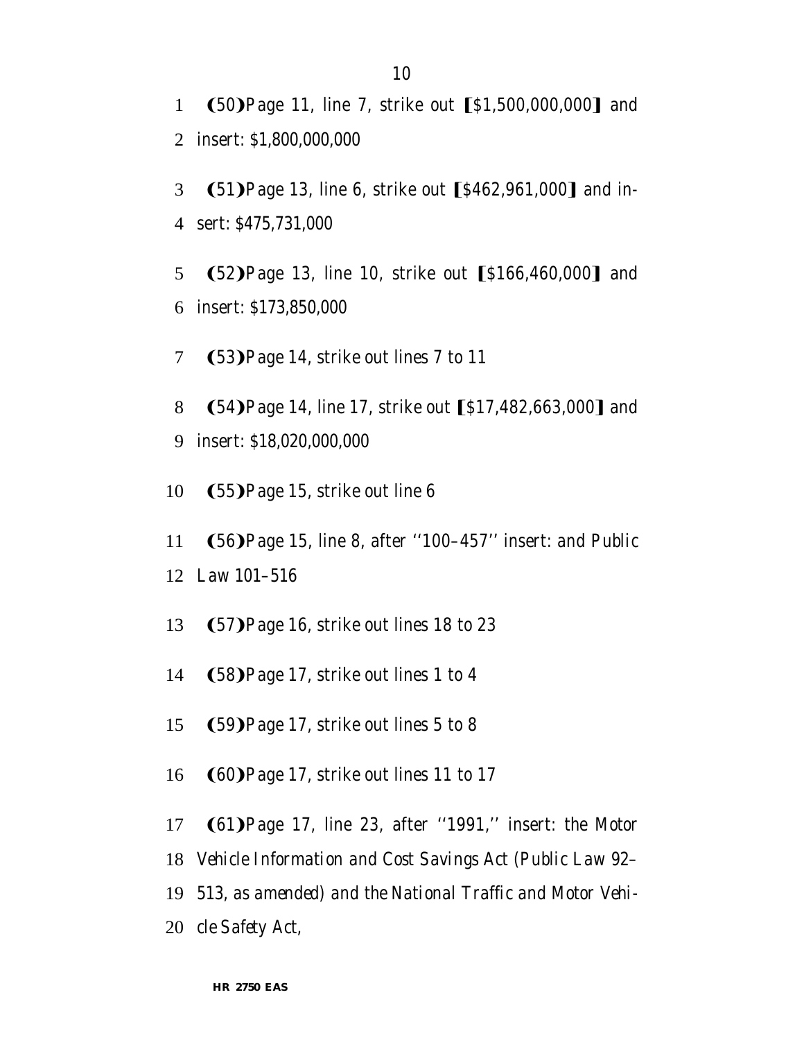1 (50) Page 11, line 7, strike out [\$1,500,000,000] and 2 insert: *\$1,800,000,000*

3 (51) Page 13, line 6, strike out [\$462,961,000] and in-4 sert: *\$475,731,000*

5 (52) Page 13, line 10, strike out [\$166,460,000] and 6 insert: *\$173,850,000*

7 (53) Page 14, strike out lines 7 to 11

- 8 (54) Page 14, line 17, strike out [\$17,482,663,000] and 9 insert: *\$18,020,000,000*
- 10  $(55)$ Page 15, strike out line 6
- 11 (56) Page 15, line 8, after "100–457" insert: *and Public*
- 12 *Law 101–516*
- 13 (57) Page 16, strike out lines 18 to 23
- 14 (58) Page 17, strike out lines 1 to 4
- 15  $(59)$  Page 17, strike out lines 5 to 8
- 16 (60) Page 17, strike out lines 11 to 17
- 17 **(61)**Page 17, line 23, after "1991," insert: *the Motor*
- 18 *Vehicle Information and Cost Savings Act (Public Law 92–*
- 19 *513, as amended) and the National Traffic and Motor Vehi-*

20 *cle Safety Act,*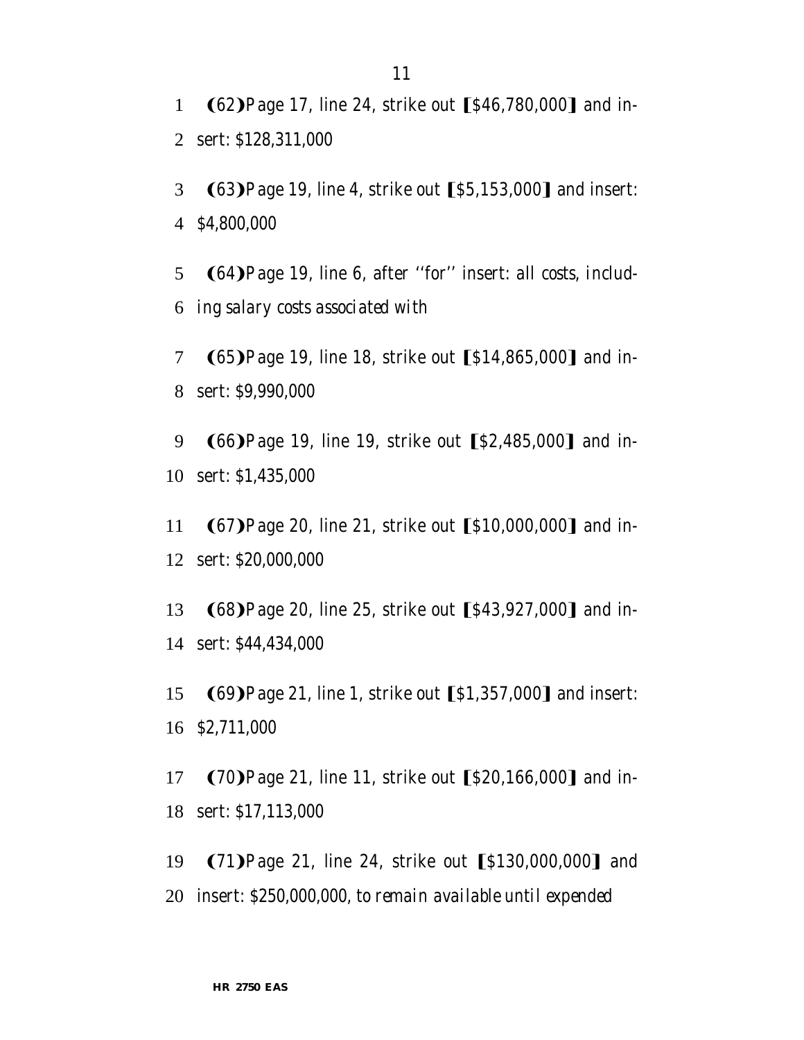1 (62) Page 17, line 24, strike out [\$46,780,000] and in-2 sert: *\$128,311,000*

3 (63) Page 19, line 4, strike out [\$5,153,000] and insert: 4 *\$4,800,000*

5 (64) Page 19, line 6, after "for" insert: *all costs, includ-*6 *ing salary costs associated with*

7 (65) Page 19, line 18, strike out [\$14,865,000] and in-8 sert: *\$9,990,000*

9 (66) Page 19, line 19, strike out [\$2,485,000] and in-10 sert: *\$1,435,000*

11 (67) Page 20, line 21, strike out [\$10,000,000] and in-12 sert: *\$20,000,000*

13 (68) Page 20, line 25, strike out [\$43,927,000] and in-14 sert: *\$44,434,000*

15 (69) Page 21, line 1, strike out [\$1,357,000] and insert: 16 *\$2,711,000*

17 (70) Page 21, line 11, strike out [\$20,166,000] and in-18 sert: *\$17,113,000*

19 (71) Page 21, line 24, strike out [\$130,000,000] and 20 insert: *\$250,000,000, to remain available until expended*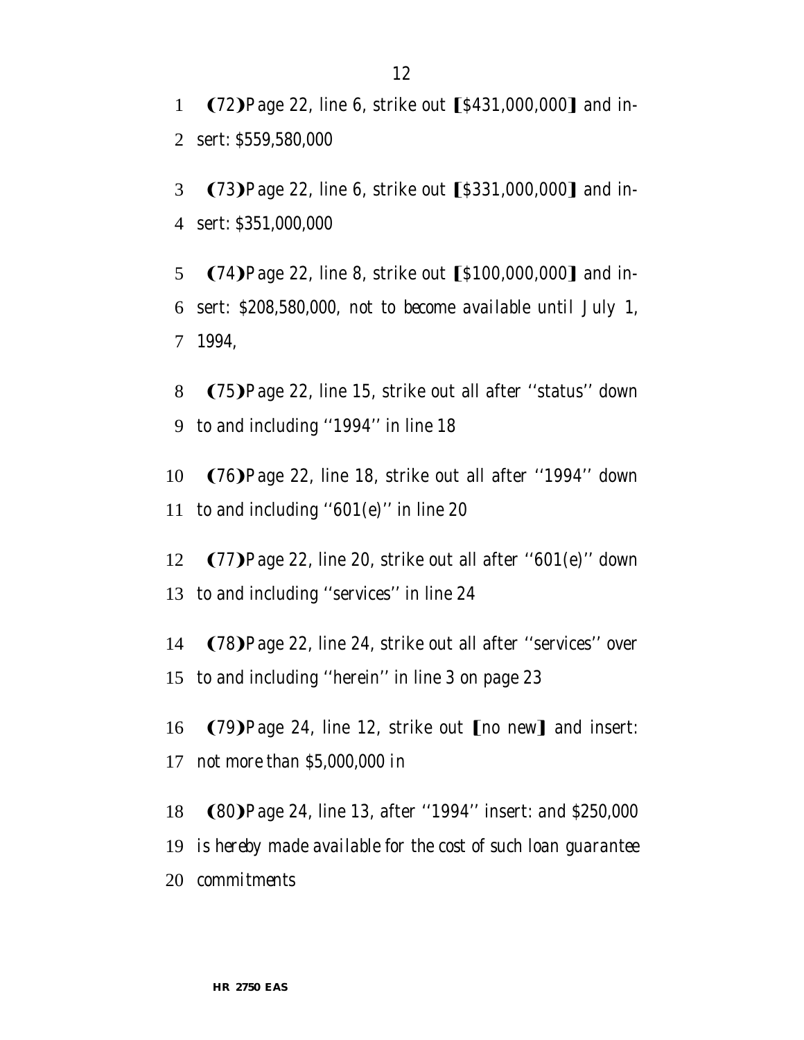1 (72) Page 22, line 6, strike out [\$431,000,000] and in-2 sert: *\$559,580,000*

3 (73) Page 22, line 6, strike out [\$331,000,000] and in-4 sert: *\$351,000,000*

5 (74) Page 22, line 8, strike out [\$100,000,000] and in-6 sert: *\$208,580,000, not to become available until July 1,* 7 *1994,*

8 (75) Page 22, line 15, strike out all after "status" down 9 to and including ''1994'' in line 18

10 (76) Page 22, line 18, strike out all after "1994" down 11 to and including ''601(e)'' in line 20

12  $(77)$ Page 22, line 20, strike out all after "601(e)" down 13 to and including ''services'' in line 24

14 (78) Page 22, line 24, strike out all after "services" over 15 to and including ''herein'' in line 3 on page 23

16 (79) Page 24, line 12, strike out [no new] and insert: 17 *not more than \$5,000,000 in*

18 (80) Page 24, line 13, after "1994" insert: *and \$250,000* 

19 *is hereby made available for the cost of such loan guarantee*

20 *commitments*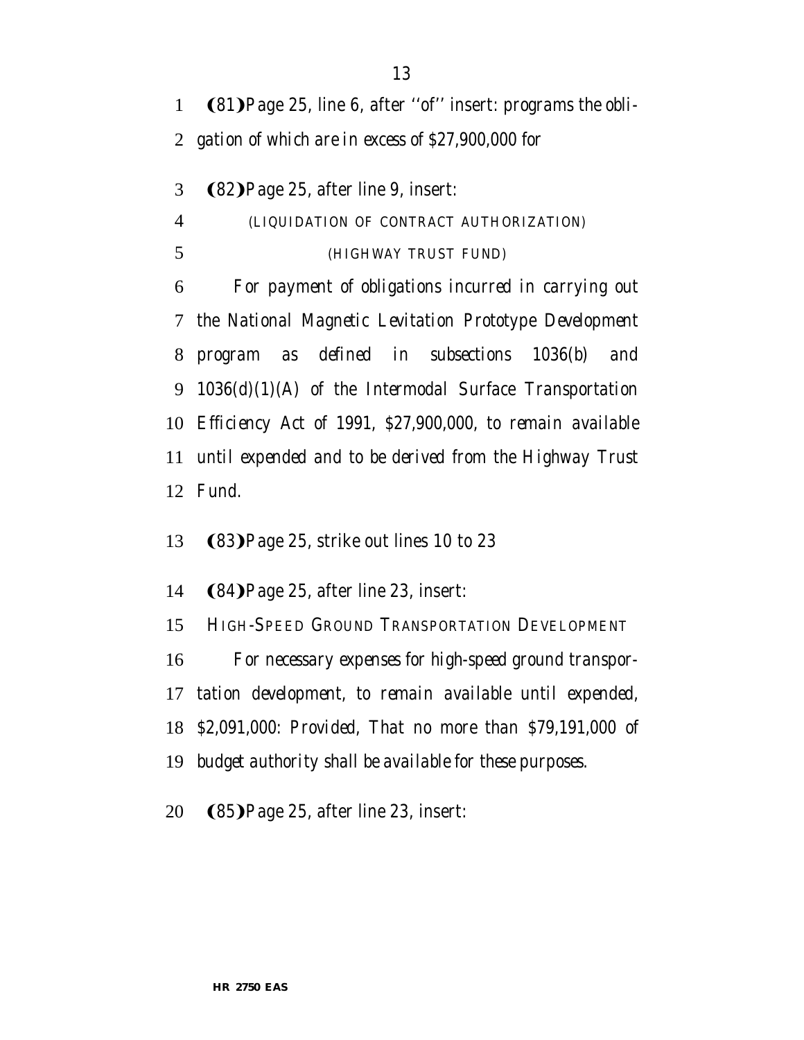1 (81) Page 25, line 6, after "of" insert: *programs the obli-gation of which are in excess of \$27,900,000 for*

3 (82) Page 25, after line 9, insert: *(LIQUIDATION OF CONTRACT AUTHORIZATION) (HIGHWAY TRUST FUND) For payment of obligations incurred in carrying out the National Magnetic Levitation Prototype Development program as defined in subsections 1036(b) and 1036(d)(1)(A) of the Intermodal Surface Transportation Efficiency Act of 1991, \$27,900,000, to remain available until expended and to be derived from the Highway Trust Fund.*

13 (83) Page 25, strike out lines 10 to 23

14 (84) Page 25, after line 23, insert:

*HIGH-SPEED GROUND TRANSPORTATION DEVELOPMENT*

*For necessary expenses for high-speed ground transpor-*

*tation development, to remain available until expended,*

*\$2,091,000: Provided, That no more than \$79,191,000 of*

*budget authority shall be available for these purposes.*

20  $(85)$ Page 25, after line 23, insert: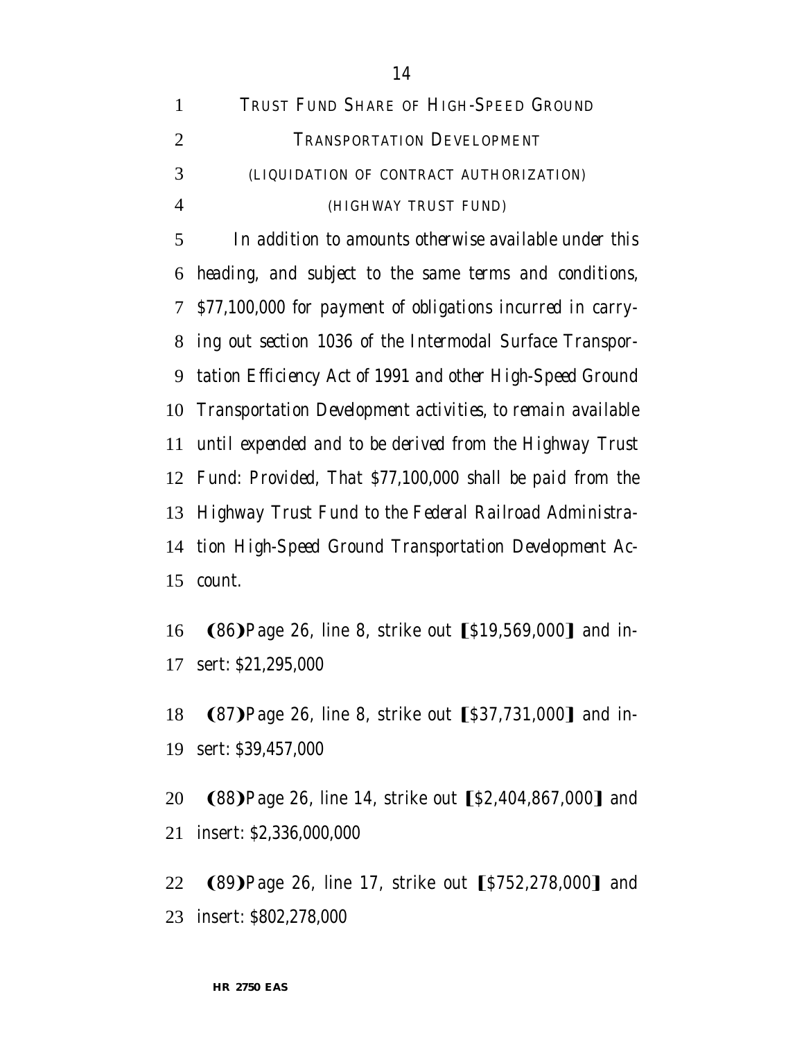| 1              | TRUST FUND SHARE OF HIGH-SPEED GROUND                       |
|----------------|-------------------------------------------------------------|
| $\overline{2}$ | TRANSPORTATION DEVELOPMENT                                  |
| 3              | (LIQUIDATION OF CONTRACT AUTHORIZATION)                     |
| $\overline{4}$ | (HIGHWAY TRUST FUND)                                        |
| 5              | In addition to amounts otherwise available under this       |
| 6              | heading, and subject to the same terms and conditions,      |
| 7 <sup>1</sup> | \$77,100,000 for payment of obligations incurred in carry-  |
| 8              | ing out section 1036 of the Intermodal Surface Transpor-    |
| 9              | tation Efficiency Act of 1991 and other High-Speed Ground   |
| 10             | Transportation Development activities, to remain available  |
| 11             | until expended and to be derived from the Highway Trust     |
|                | 12 Fund: Provided, That \$77,100,000 shall be paid from the |
|                | 13 Highway Trust Fund to the Federal Railroad Administra-   |
| 14             | tion High-Speed Ground Transportation Development Ac-       |
| 15             | count.                                                      |

16 (86) Page 26, line 8, strike out [\$19,569,000] and in-sert: *\$21,295,000*

- 18 (87) Page 26, line 8, strike out [\$37,731,000] and in-sert: *\$39,457,000*
- 20 (88) Page 26, line 14, strike out [\$2,404,867,000] and insert: *\$2,336,000,000*
- 22 (89) Page 26, line 17, strike out [\$752,278,000] and insert: *\$802,278,000*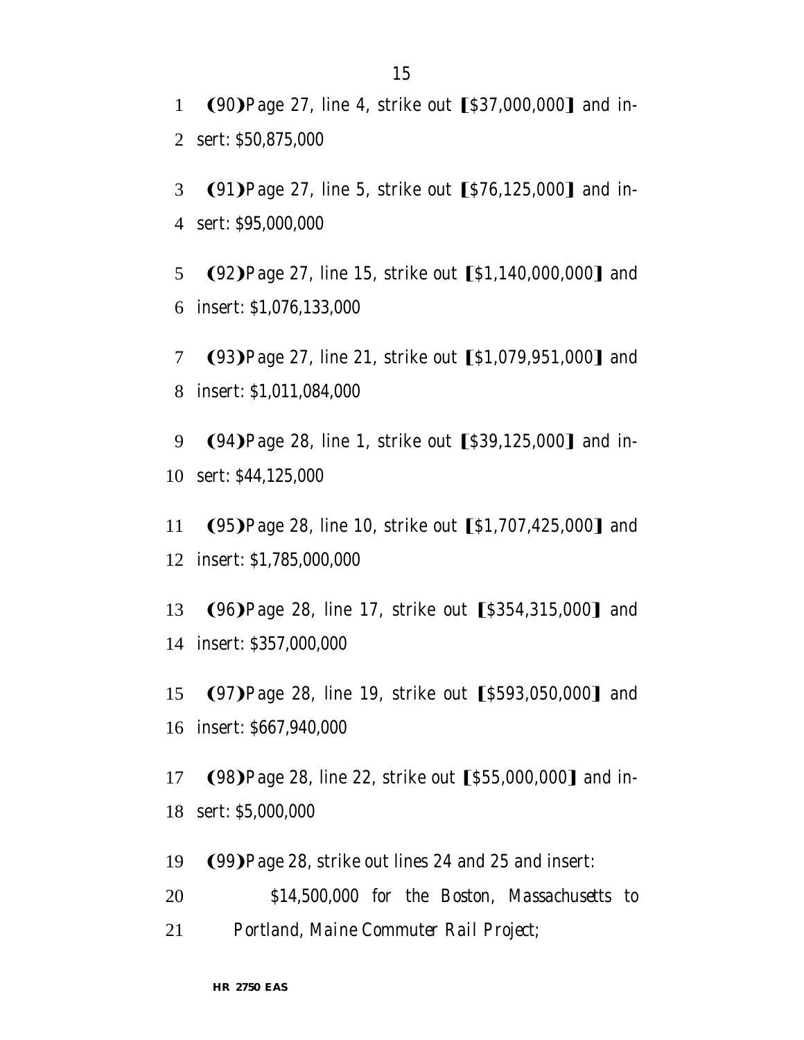1 (90) Page 27, line 4, strike out [\$37,000,000] and in-2 sert: *\$50,875,000*

3 (91) Page 27, line 5, strike out [\$76,125,000] and in-4 sert: *\$95,000,000*

5 (92) Page 27, line 15, strike out [\$1,140,000,000] and 6 insert: *\$1,076,133,000*

7 (93) Page 27, line 21, strike out [\$1,079,951,000] and 8 insert: *\$1,011,084,000*

9 (94) Page 28, line 1, strike out [\$39,125,000] and in-10 sert: *\$44,125,000*

11 **(95)**Page 28, line 10, strike out [\$1,707,425,000] and 12 insert: *\$1,785,000,000*

13 (96) Page 28, line 17, strike out [\$354,315,000] and 14 insert: *\$357,000,000*

15 (97) Page 28, line 19, strike out [\$593,050,000] and 16 insert: *\$667,940,000*

17 (98) Page 28, line 22, strike out [\$55,000,000] and in-18 sert: *\$5,000,000*

19 (99) Page 28, strike out lines 24 and 25 and insert:

20 *\$14,500,000 for the Boston, Massachusetts to* 21 *Portland, Maine Commuter Rail Project;*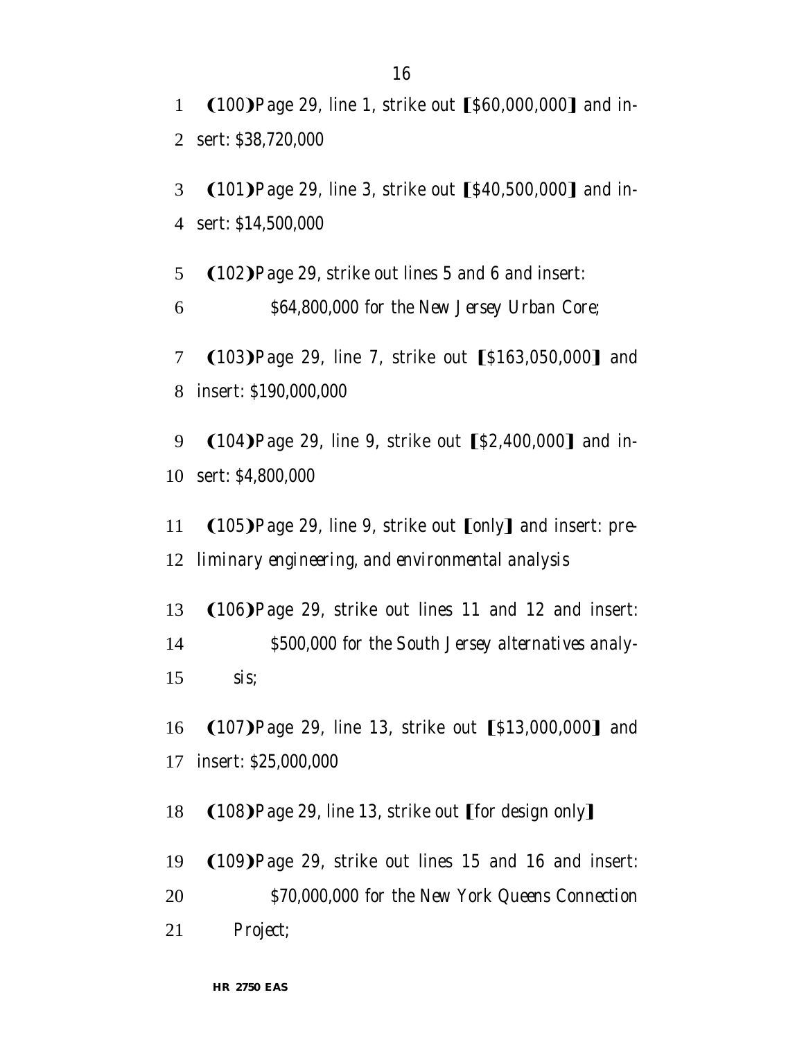1 (100) Page 29, line 1, strike out [\$60,000,000] and in-2 sert: *\$38,720,000*

3 (101) Page 29, line 3, strike out [\$40,500,000] and in-4 sert: *\$14,500,000*

5  $(102)$ Page 29, strike out lines 5 and 6 and insert: 6 *\$64,800,000 for the New Jersey Urban Core;*

7 (103) Page 29, line 7, strike out [\$163,050,000] and 8 insert: *\$190,000,000*

9 (104) Page 29, line 9, strike out [\$2,400,000] and in-10 sert: *\$4,800,000*

11 **(105)** Page 29, line 9, strike out [only] and insert: *pre-*12 *liminary engineering, and environmental analysis*

13  $(106)$ Page 29, strike out lines 11 and 12 and insert: 14 *\$500,000 for the South Jersey alternatives analy-*15 *sis;*

16 (107) Page 29, line 13, strike out [\$13,000,000] and 17 insert: *\$25,000,000*

18  $(108)$ Page 29, line 13, strike out [for design only]

19  $(109)$  Page 29, strike out lines 15 and 16 and insert:

20 *\$70,000,000 for the New York Queens Connection*

21 *Project;*

**HR 2750 EAS**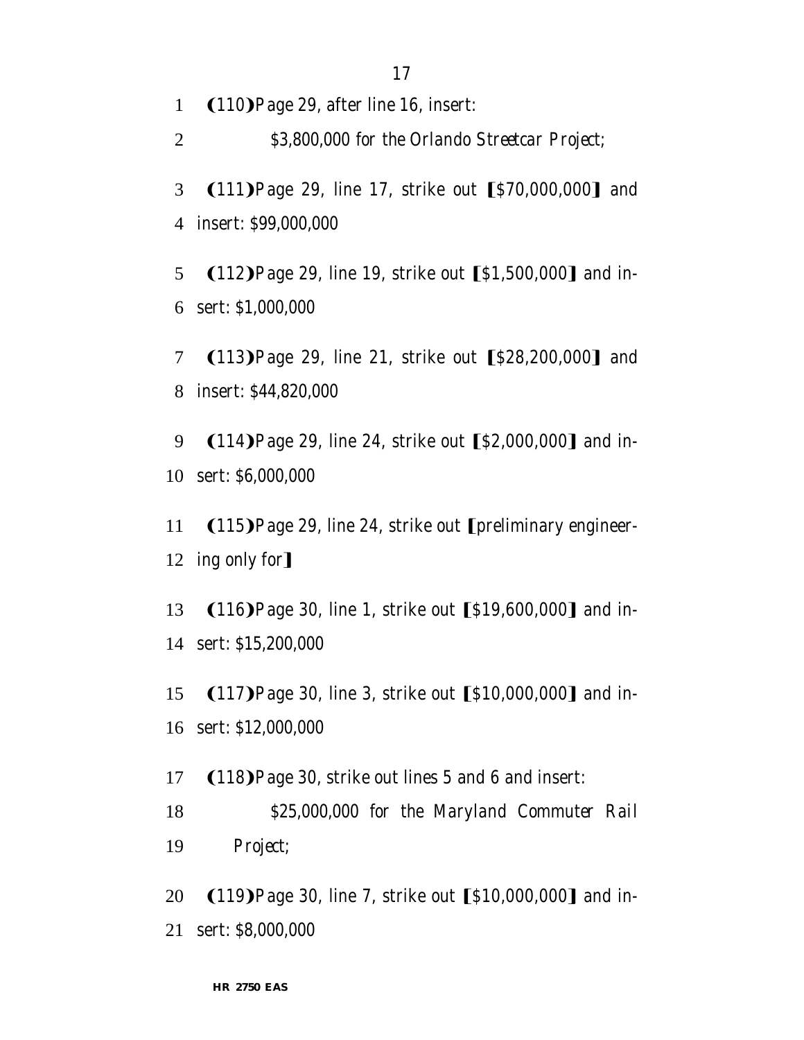1 (110) Page 29, after line 16, insert:

2 *\$3,800,000 for the Orlando Streetcar Project;*

3 (111) Page 29, line 17, strike out [\$70,000,000] and 4 insert: *\$99,000,000*

5  $(112)$ Page 29, line 19, strike out  $[$1,500,000]$  and in-6 sert: *\$1,000,000*

7 (113) Page 29, line 21, strike out [\$28,200,000] and 8 insert: *\$44,820,000*

9 (114) Page 29, line 24, strike out [\$2,000,000] and in-10 sert: *\$6,000,000*

11 (115) Page 29, line 24, strike out [preliminary engineer-12 ing only for]

13 (116) Page 30, line 1, strike out [\$19,600,000] and in-14 sert: *\$15,200,000*

15 (117) Page 30, line 3, strike out [\$10,000,000] and in-16 sert: *\$12,000,000*

17  $(118)$ Page 30, strike out lines 5 and 6 and insert: 18 *\$25,000,000 for the Maryland Commuter Rail* 19 *Project;*

20 (119) Page 30, line 7, strike out [\$10,000,000] and in-21 sert: *\$8,000,000*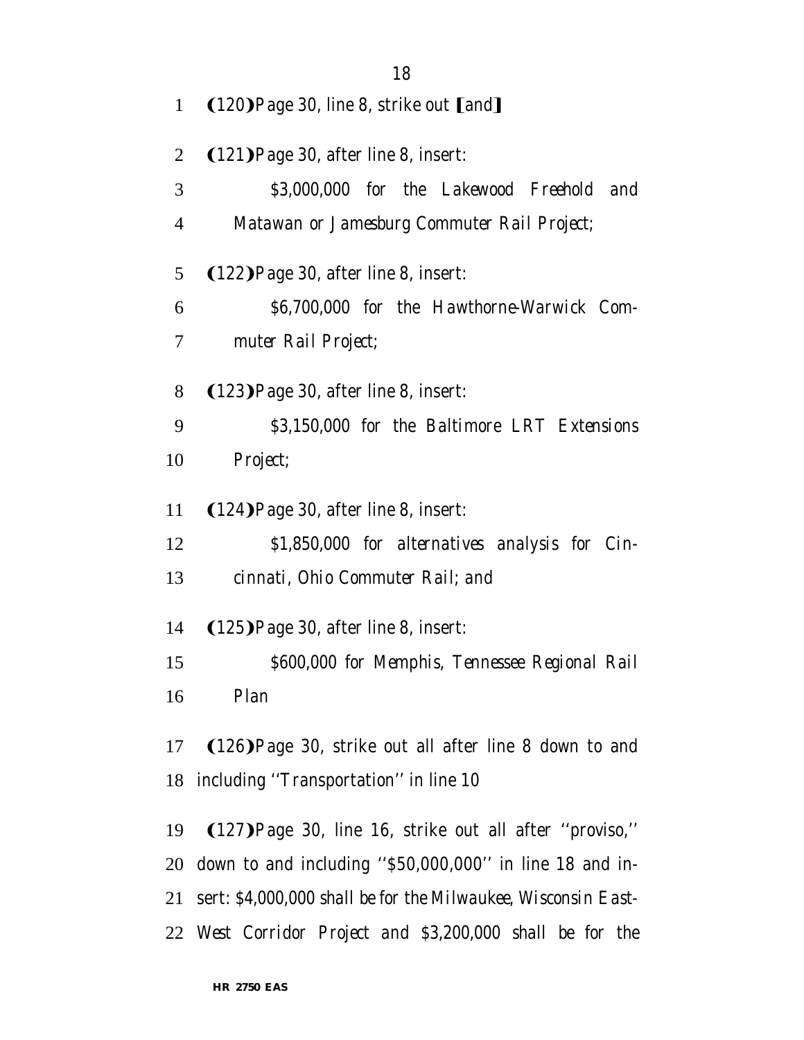| 1              | $(120)$ Page 30, line 8, strike out $[$ and]                  |
|----------------|---------------------------------------------------------------|
| $\overline{2}$ | (121) Page 30, after line 8, insert:                          |
| 3              | \$3,000,000 for the Lakewood Freehold and                     |
| 4              | Matawan or Jamesburg Commuter Rail Project;                   |
| 5              | (122) Page 30, after line 8, insert:                          |
| 6              | \$6,700,000 for the Hawthorne-Warwick Com-                    |
| 7              | muter Rail Project;                                           |
| 8              | (123) Page 30, after line 8, insert:                          |
| 9              | \$3,150,000 for the Baltimore LRT Extensions                  |
| 10             | Project;                                                      |
| 11             | (124) Page 30, after line 8, insert:                          |
| 12             | \$1,850,000 for alternatives analysis for Cin-                |
| 13             | cinnati, Ohio Commuter Rail; and                              |
| 14             | (125) Page 30, after line 8, insert:                          |
| 15             | \$600,000 for Memphis, Tennessee Regional Rail                |
|                | 16 Plan                                                       |
|                | 17 (126) Page 30, strike out all after line 8 down to and     |
| 18             | including "Transportation" in line 10                         |
| 19             | (127) Page 30, line 16, strike out all after "proviso,"       |
|                | 20 down to and including "\$50,000,000" in line 18 and in-    |
| 21             | sert: \$4,000,000 shall be for the Milwaukee, Wisconsin East- |
| 22             | West Corridor Project and \$3,200,000 shall be for the        |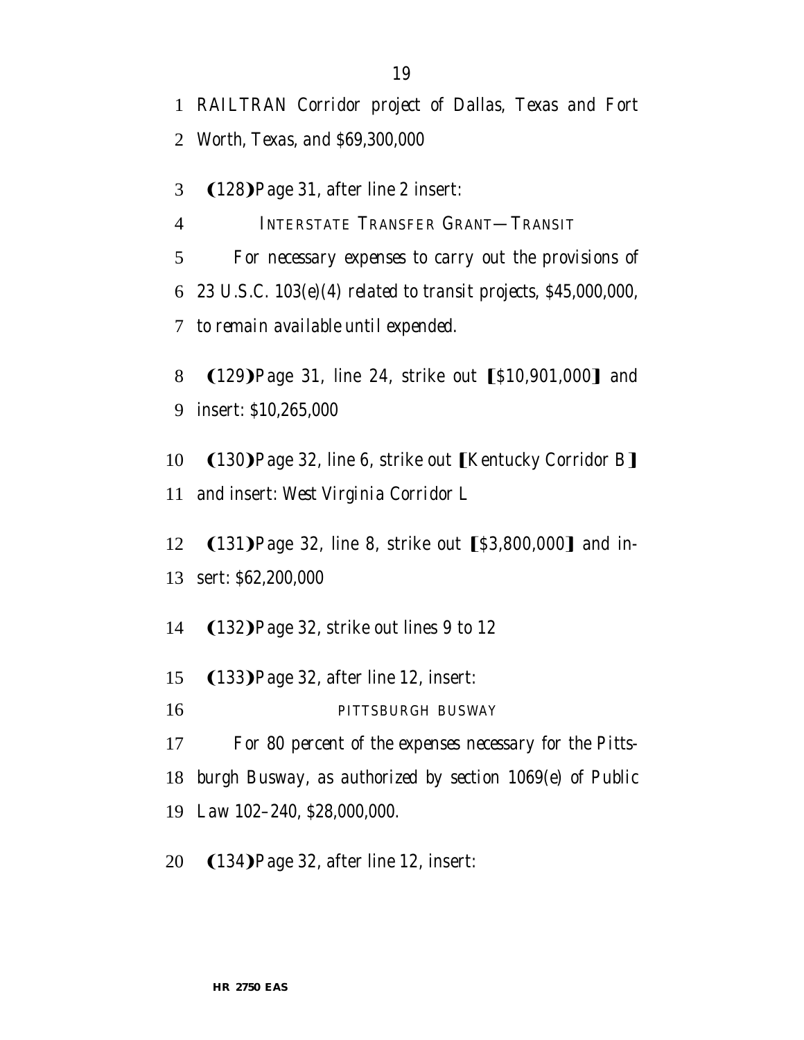3 (128) Page 31, after line 2 insert:

*INTERSTATE TRANSFER GRANT—TRANSIT*

 *For necessary expenses to carry out the provisions of 23 U.S.C. 103(e)(4) related to transit projects, \$45,000,000, to remain available until expended.*

8 (129) Page 31, line 24, strike out [\$10,901,000] and insert: *\$10,265,000*

10 (130) Page 32, line 6, strike out [Kentucky Corridor B] and insert: *West Virginia Corridor L*

12 (131) Page 32, line 8, strike out [\$3,800,000] and in-sert: *\$62,200,000*

14 (132) Page 32, strike out lines 9 to 12

15 (133) Page 32, after line 12, insert:

*PITTSBURGH BUSWAY*

*For 80 percent of the expenses necessary for the Pitts-*

*burgh Busway, as authorized by section 1069(e) of Public*

*Law 102–240, \$28,000,000.*

20 (134) Page 32, after line 12, insert: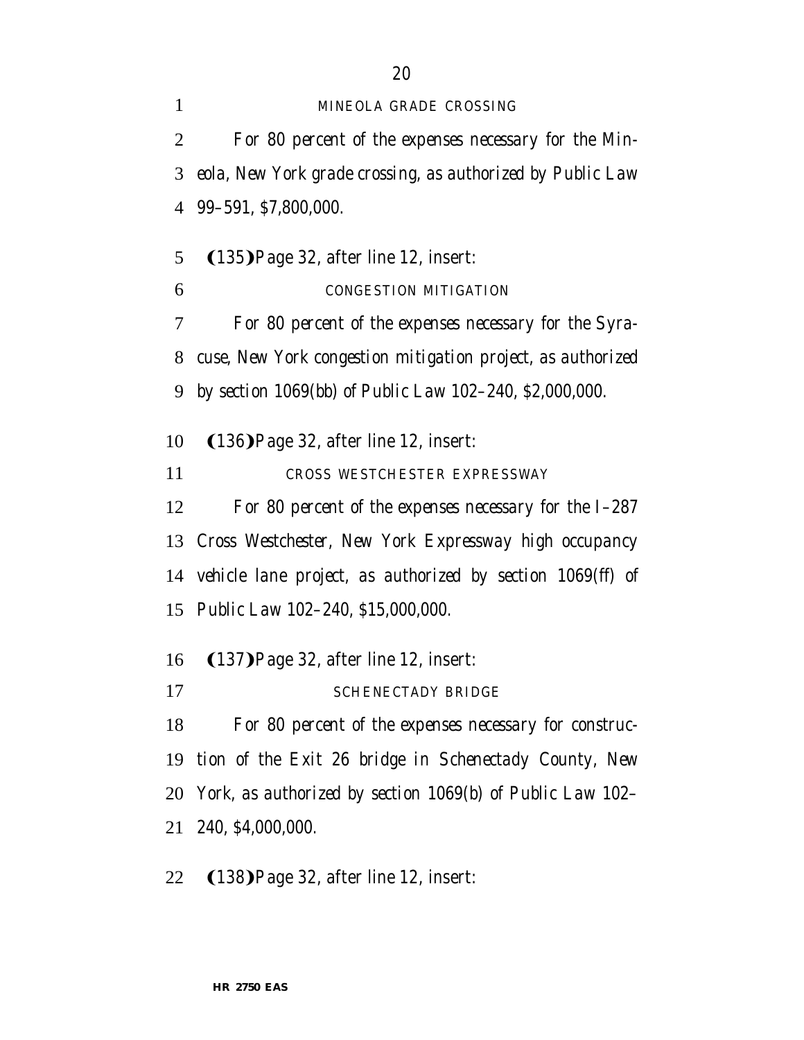*MINEOLA GRADE CROSSING For 80 percent of the expenses necessary for the Min- eola, New York grade crossing, as authorized by Public Law 99–591, \$7,800,000.*

5  $(135)$ Page 32, after line 12, insert:

*CONGESTION MITIGATION*

 *For 80 percent of the expenses necessary for the Syra- cuse, New York congestion mitigation project, as authorized by section 1069(bb) of Public Law 102–240, \$2,000,000.*

10 (136) Page 32, after line 12, insert:

*CROSS WESTCHESTER EXPRESSWAY*

*For 80 percent of the expenses necessary for the I–287*

*Cross Westchester, New York Expressway high occupancy*

*vehicle lane project, as authorized by section 1069(ff) of*

*Public Law 102–240, \$15,000,000.*

- 16 (137) Page 32, after line 12, insert:
- *SCHENECTADY BRIDGE*

 *For 80 percent of the expenses necessary for construc- tion of the Exit 26 bridge in Schenectady County, New York, as authorized by section 1069(b) of Public Law 102– 240, \$4,000,000.*

22 (138) Page 32, after line 12, insert: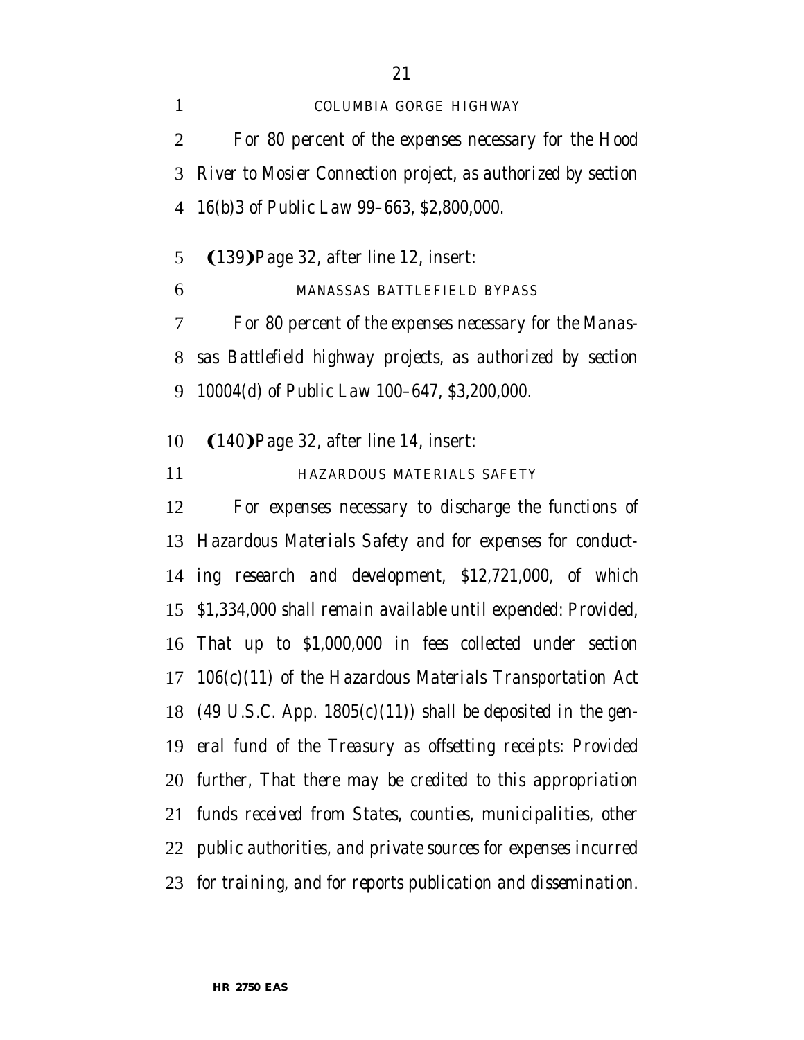*COLUMBIA GORGE HIGHWAY For 80 percent of the expenses necessary for the Hood River to Mosier Connection project, as authorized by section 16(b)3 of Public Law 99–663, \$2,800,000.*

5  $(139)$ Page 32, after line 12, insert:

*MANASSAS BATTLEFIELD BYPASS*

 *For 80 percent of the expenses necessary for the Manas- sas Battlefield highway projects, as authorized by section 10004(d) of Public Law 100–647, \$3,200,000.*

10 (140) Page 32, after line 14, insert:

*HAZARDOUS MATERIALS SAFETY*

 *For expenses necessary to discharge the functions of Hazardous Materials Safety and for expenses for conduct- ing research and development, \$12,721,000, of which \$1,334,000 shall remain available until expended: Provided, That up to \$1,000,000 in fees collected under section 106(c)(11) of the Hazardous Materials Transportation Act (49 U.S.C. App. 1805(c)(11)) shall be deposited in the gen- eral fund of the Treasury as offsetting receipts: Provided further, That there may be credited to this appropriation funds received from States, counties, municipalities, other public authorities, and private sources for expenses incurred for training, and for reports publication and dissemination.*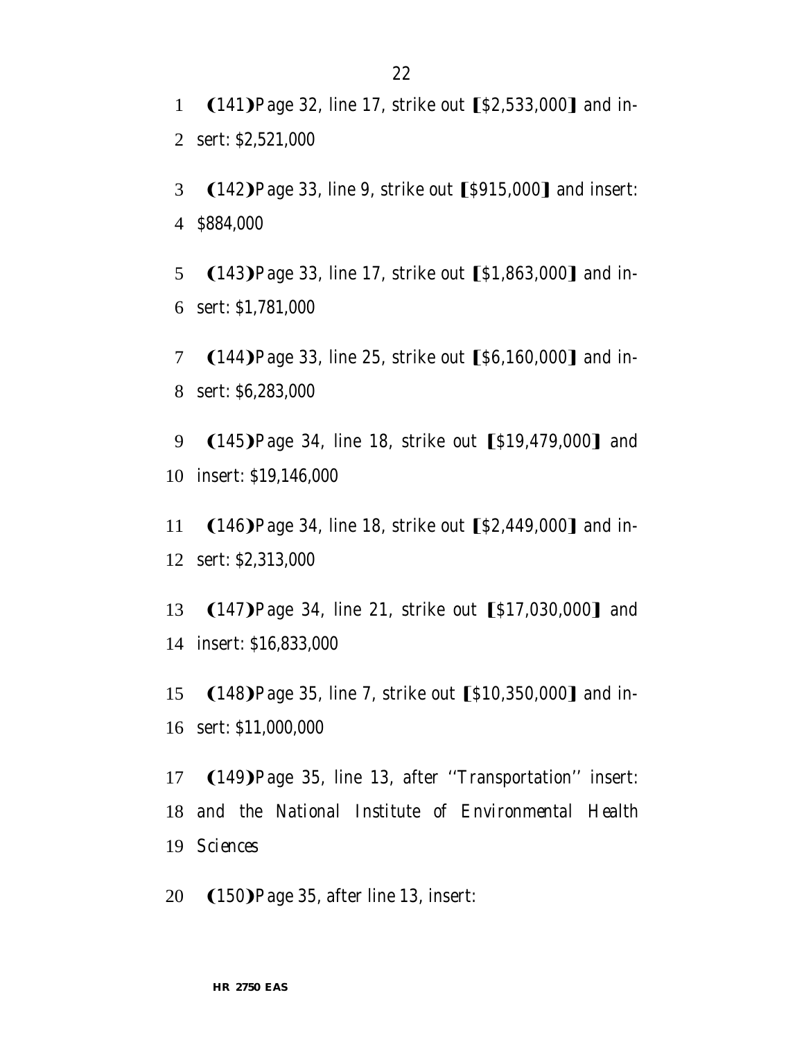1  $(141)$ Page 32, line 17, strike out  $\S2,533,000$  and in-2 sert: *\$2,521,000*

3 (142) Page 33, line 9, strike out [\$915,000] and insert: 4 *\$884,000*

5 (143) Page 33, line 17, strike out [\$1,863,000] and in-6 sert: *\$1,781,000*

7 (144) Page 33, line 25, strike out [\$6,160,000] and in-8 sert: *\$6,283,000*

9 (145) Page 34, line 18, strike out [\$19,479,000] and 10 insert: *\$19,146,000*

11 (146) Page 34, line 18, strike out [\$2,449,000] and in-12 sert: *\$2,313,000*

13 (147) Page 34, line 21, strike out [\$17,030,000] and 14 insert: *\$16,833,000*

15 (148) Page 35, line 7, strike out [\$10,350,000] and in-16 sert: *\$11,000,000*

17 (149) Page 35, line 13, after "Transportation" insert: 18 *and the National Institute of Environmental Health* 19 *Sciences*

20 (150) Page 35, after line 13, insert: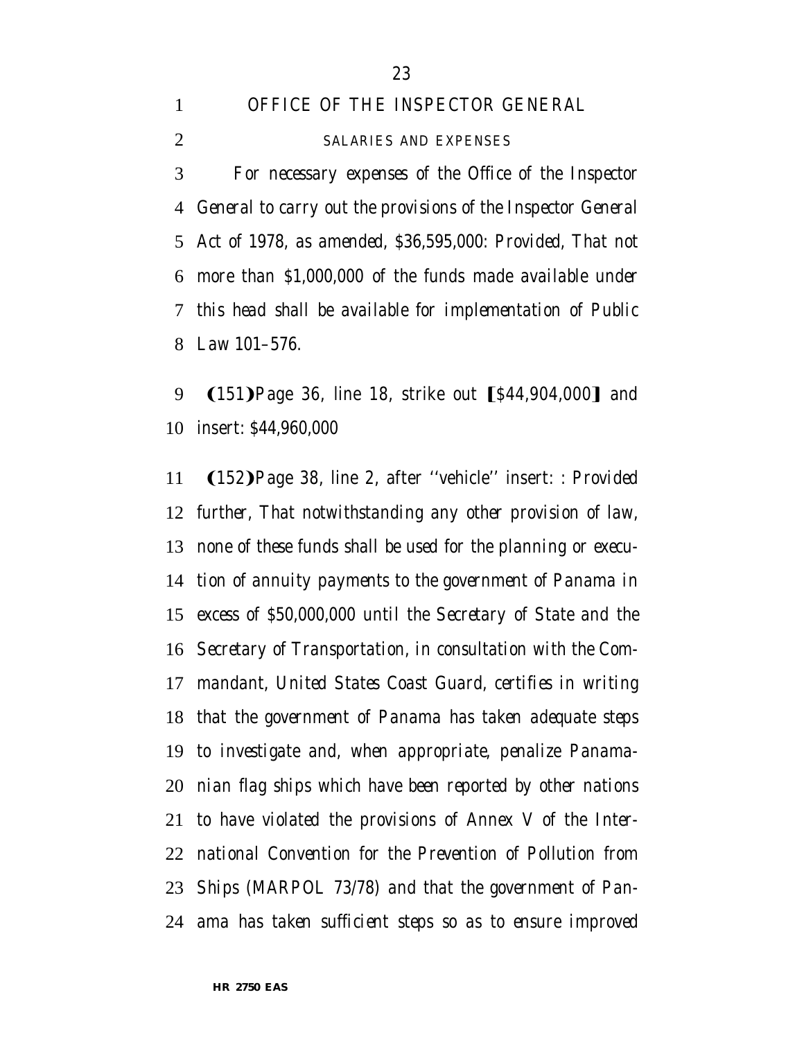*OFFICE OF THE INSPECTOR GENERAL*

*SALARIES AND EXPENSES*

 *For necessary expenses of the Office of the Inspector General to carry out the provisions of the Inspector General Act of 1978, as amended, \$36,595,000: Provided, That not more than \$1,000,000 of the funds made available under this head shall be available for implementation of Public Law 101–576.*

9 (151) Page 36, line 18, strike out [\$44,904,000] and insert: *\$44,960,000*

**(152)** Page 38, line 2, after "vehicle" insert: *: Provided further, That notwithstanding any other provision of law, none of these funds shall be used for the planning or execu- tion of annuity payments to the government of Panama in excess of \$50,000,000 until the Secretary of State and the Secretary of Transportation, in consultation with the Com- mandant, United States Coast Guard, certifies in writing that the government of Panama has taken adequate steps to investigate and, when appropriate, penalize Panama- nian flag ships which have been reported by other nations to have violated the provisions of Annex V of the Inter- national Convention for the Prevention of Pollution from Ships (MARPOL 73/78) and that the government of Pan-ama has taken sufficient steps so as to ensure improved*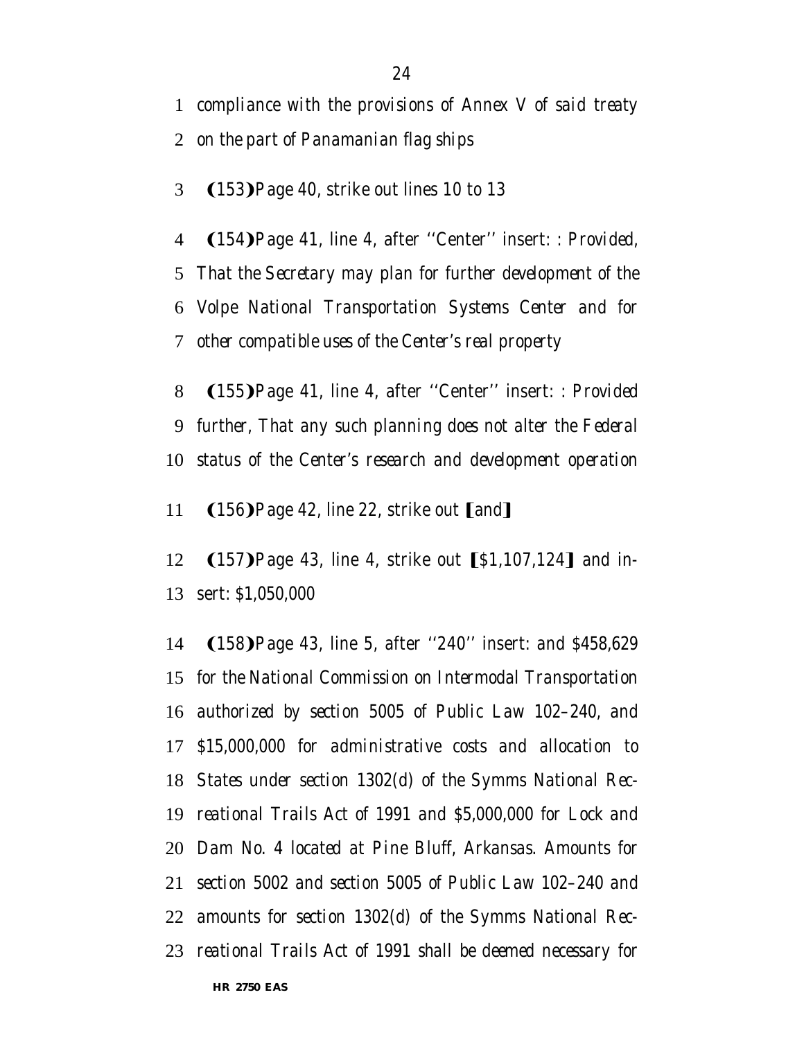*compliance with the provisions of Annex V of said treaty*

*on the part of Panamanian flag ships*

3  $(153)$ Page 40, strike out lines 10 to 13

4 (154) Page 41, line 4, after "Center" insert: *: Provided, That the Secretary may plan for further development of the Volpe National Transportation Systems Center and for other compatible uses of the Center's real property*

8 (155) Page 41, line 4, after "Center" insert: *: Provided further, That any such planning does not alter the Federal status of the Center's research and development operation*

11  $(156)$ Page 42, line 22, strike out [and]

12 (157) Page 43, line 4, strike out [\$1,107,124] and in-sert: *\$1,050,000*

14 (158) Page 43, line 5, after "240" insert: *and \$458,629 for the National Commission on Intermodal Transportation authorized by section 5005 of Public Law 102–240, and \$15,000,000 for administrative costs and allocation to States under section 1302(d) of the Symms National Rec- reational Trails Act of 1991 and \$5,000,000 for Lock and Dam No. 4 located at Pine Bluff, Arkansas. Amounts for section 5002 and section 5005 of Public Law 102–240 and amounts for section 1302(d) of the Symms National Rec-reational Trails Act of 1991 shall be deemed necessary for*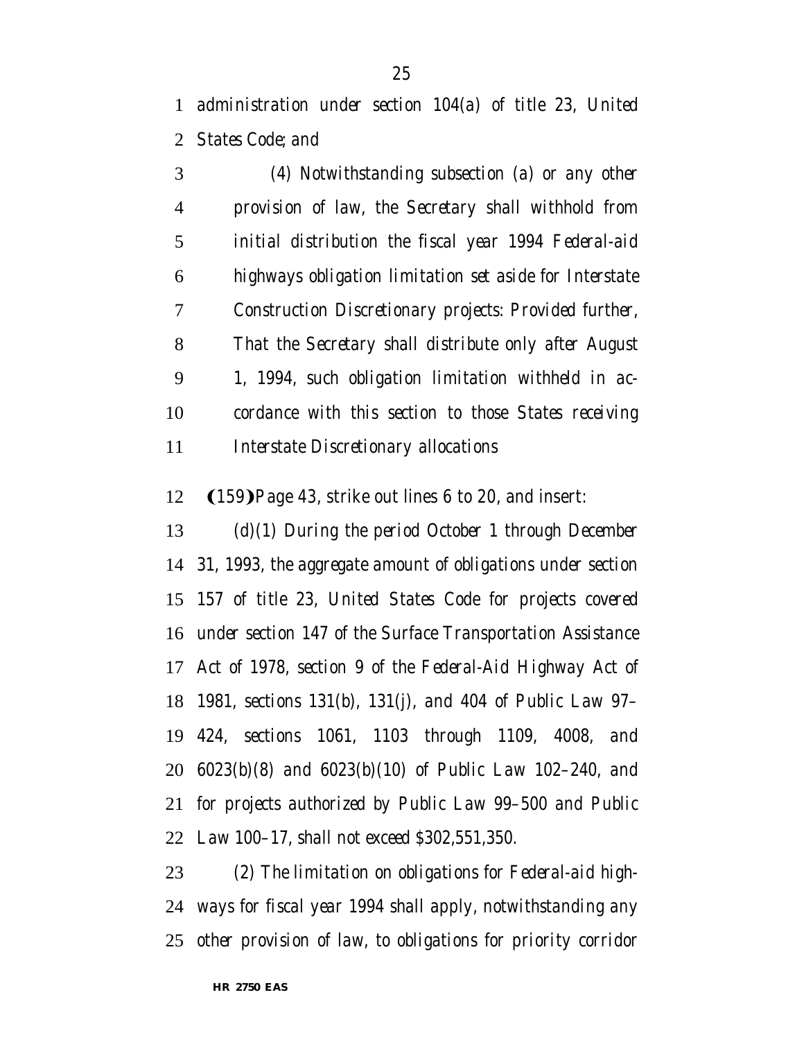*administration under section 104(a) of title 23, United States Code; and*

 *(4) Notwithstanding subsection (a) or any other provision of law, the Secretary shall withhold from initial distribution the fiscal year 1994 Federal-aid highways obligation limitation set aside for Interstate Construction Discretionary projects: Provided further, That the Secretary shall distribute only after August 1, 1994, such obligation limitation withheld in ac- cordance with this section to those States receiving Interstate Discretionary allocations*

12  $(159)$ Page 43, strike out lines 6 to 20, and insert:

 *(d)(1) During the period October 1 through December 31, 1993, the aggregate amount of obligations under section 157 of title 23, United States Code for projects covered under section 147 of the Surface Transportation Assistance Act of 1978, section 9 of the Federal-Aid Highway Act of 1981, sections 131(b), 131(j), and 404 of Public Law 97– 424, sections 1061, 1103 through 1109, 4008, and 6023(b)(8) and 6023(b)(10) of Public Law 102–240, and for projects authorized by Public Law 99–500 and Public Law 100–17, shall not exceed \$302,551,350.*

 *(2) The limitation on obligations for Federal-aid high- ways for fiscal year 1994 shall apply, notwithstanding any other provision of law, to obligations for priority corridor*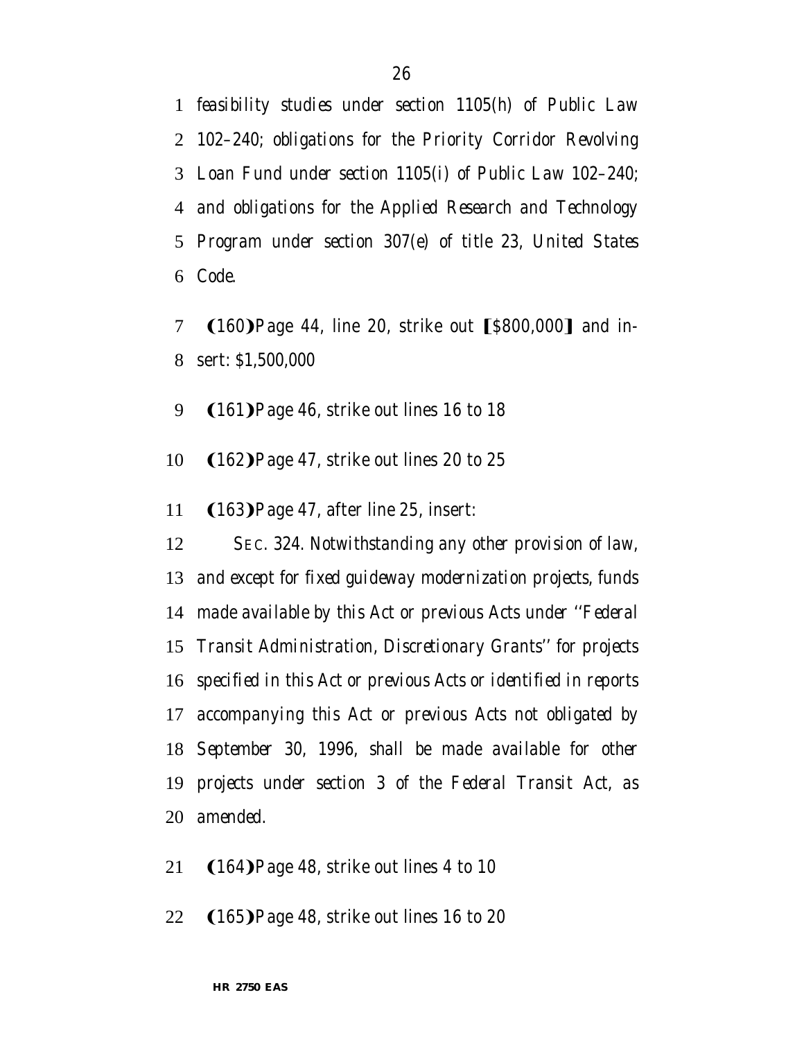*feasibility studies under section 1105(h) of Public Law 102–240; obligations for the Priority Corridor Revolving Loan Fund under section 1105(i) of Public Law 102–240; and obligations for the Applied Research and Technology Program under section 307(e) of title 23, United States Code.*

- 7  $(160)$  Page 44, line 20, strike out  $[$800,000]$  and in-sert: *\$1,500,000*
- 9  $(161)$ Page 46, strike out lines 16 to 18
- 10 (162) Page 47, strike out lines 20 to 25
- 11 (163) Page 47, after line 25, insert:

 *SEC. 324. Notwithstanding any other provision of law, and except for fixed guideway modernization projects, funds made available by this Act or previous Acts under ''Federal Transit Administration, Discretionary Grants'' for projects specified in this Act or previous Acts or identified in reports accompanying this Act or previous Acts not obligated by September 30, 1996, shall be made available for other projects under section 3 of the Federal Transit Act, as amended.*

- 21  $(164)$ Page 48, strike out lines 4 to 10
- 22  $(165)$ Page 48, strike out lines 16 to 20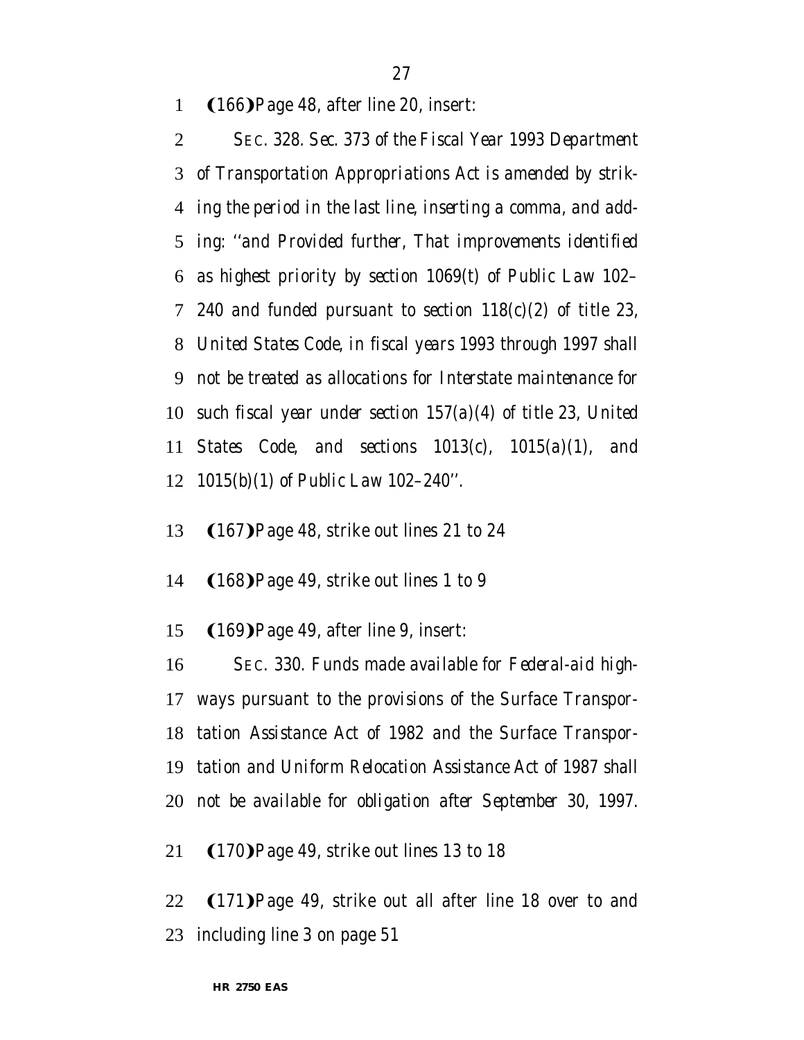1 (166) Page 48, after line 20, insert:

 *SEC. 328. Sec. 373 of the Fiscal Year 1993 Department of Transportation Appropriations Act is amended by strik- ing the period in the last line, inserting a comma, and add- ing: ''and Provided further, That improvements identified as highest priority by section 1069(t) of Public Law 102– 240 and funded pursuant to section 118(c)(2) of title 23, United States Code, in fiscal years 1993 through 1997 shall not be treated as allocations for Interstate maintenance for such fiscal year under section 157(a)(4) of title 23, United States Code, and sections 1013(c), 1015(a)(1), and 1015(b)(1) of Public Law 102–240''.*

- 13 (167) Page 48, strike out lines 21 to 24
- 14 (168) Page 49, strike out lines 1 to 9
- 15 (169) Page 49, after line 9, insert:

 *SEC. 330. Funds made available for Federal-aid high- ways pursuant to the provisions of the Surface Transpor- tation Assistance Act of 1982 and the Surface Transpor- tation and Uniform Relocation Assistance Act of 1987 shall not be available for obligation after September 30, 1997.*

21 (170) Page 49, strike out lines 13 to 18

22 (171) Page 49, strike out all after line 18 over to and including line 3 on page 51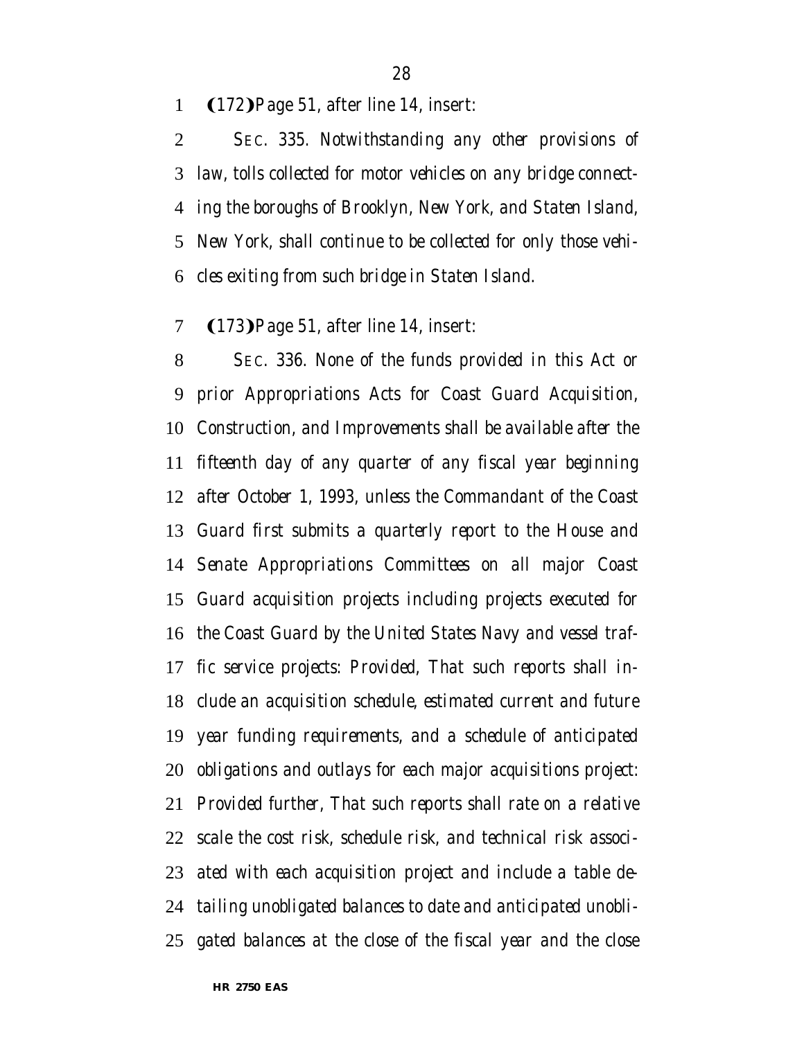#### 1 (172) Page 51, after line 14, insert:

 *SEC. 335. Notwithstanding any other provisions of law, tolls collected for motor vehicles on any bridge connect- ing the boroughs of Brooklyn, New York, and Staten Island, New York, shall continue to be collected for only those vehi-cles exiting from such bridge in Staten Island.*

#### 7 (173) Page 51, after line 14, insert:

 *SEC. 336. None of the funds provided in this Act or prior Appropriations Acts for Coast Guard Acquisition, Construction, and Improvements shall be available after the fifteenth day of any quarter of any fiscal year beginning after October 1, 1993, unless the Commandant of the Coast Guard first submits a quarterly report to the House and Senate Appropriations Committees on all major Coast Guard acquisition projects including projects executed for the Coast Guard by the United States Navy and vessel traf- fic service projects: Provided, That such reports shall in- clude an acquisition schedule, estimated current and future year funding requirements, and a schedule of anticipated obligations and outlays for each major acquisitions project: Provided further, That such reports shall rate on a relative scale the cost risk, schedule risk, and technical risk associ- ated with each acquisition project and include a table de- tailing unobligated balances to date and anticipated unobli-gated balances at the close of the fiscal year and the close*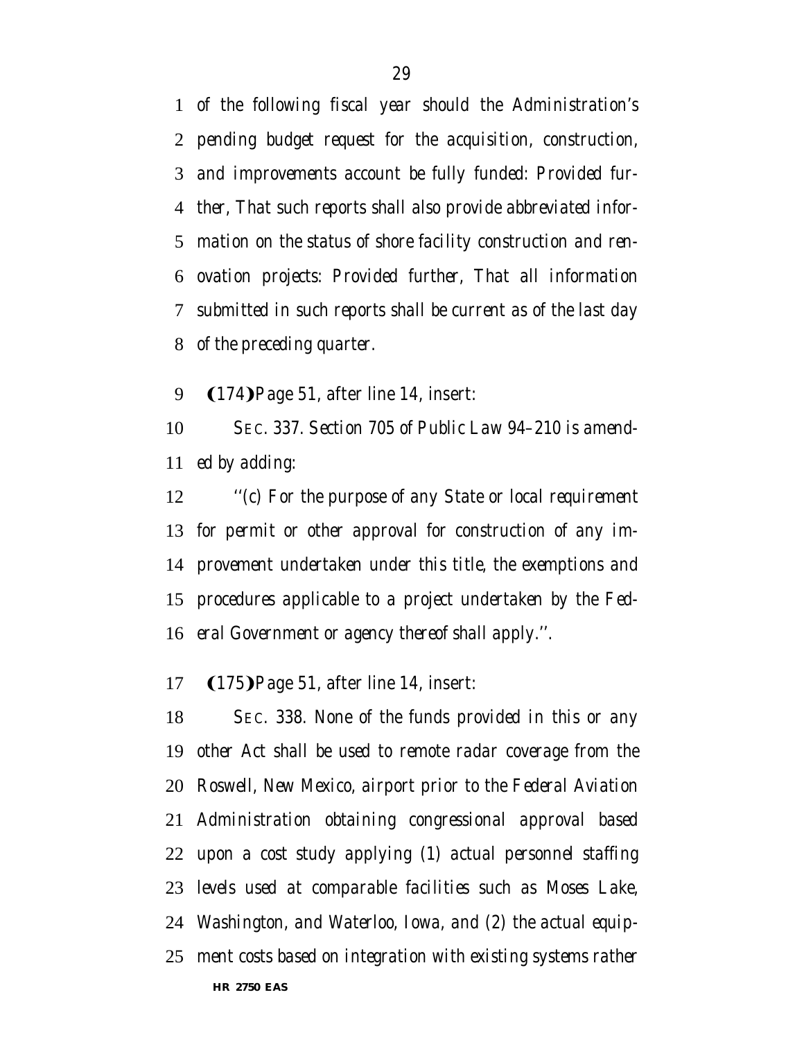*of the following fiscal year should the Administration's pending budget request for the acquisition, construction, and improvements account be fully funded: Provided fur- ther, That such reports shall also provide abbreviated infor- mation on the status of shore facility construction and ren- ovation projects: Provided further, That all information submitted in such reports shall be current as of the last day of the preceding quarter.*

#### 9 (174) Page 51, after line 14, insert:

 *SEC. 337. Section 705 of Public Law 94–210 is amend-ed by adding:*

 *''(c) For the purpose of any State or local requirement for permit or other approval for construction of any im- provement undertaken under this title, the exemptions and procedures applicable to a project undertaken by the Fed-eral Government or agency thereof shall apply.''.*

#### 17 (175) Page 51, after line 14, insert:

**HR 2750 EAS** *SEC. 338. None of the funds provided in this or any other Act shall be used to remote radar coverage from the Roswell, New Mexico, airport prior to the Federal Aviation Administration obtaining congressional approval based upon a cost study applying (1) actual personnel staffing levels used at comparable facilities such as Moses Lake, Washington, and Waterloo, Iowa, and (2) the actual equip-ment costs based on integration with existing systems rather*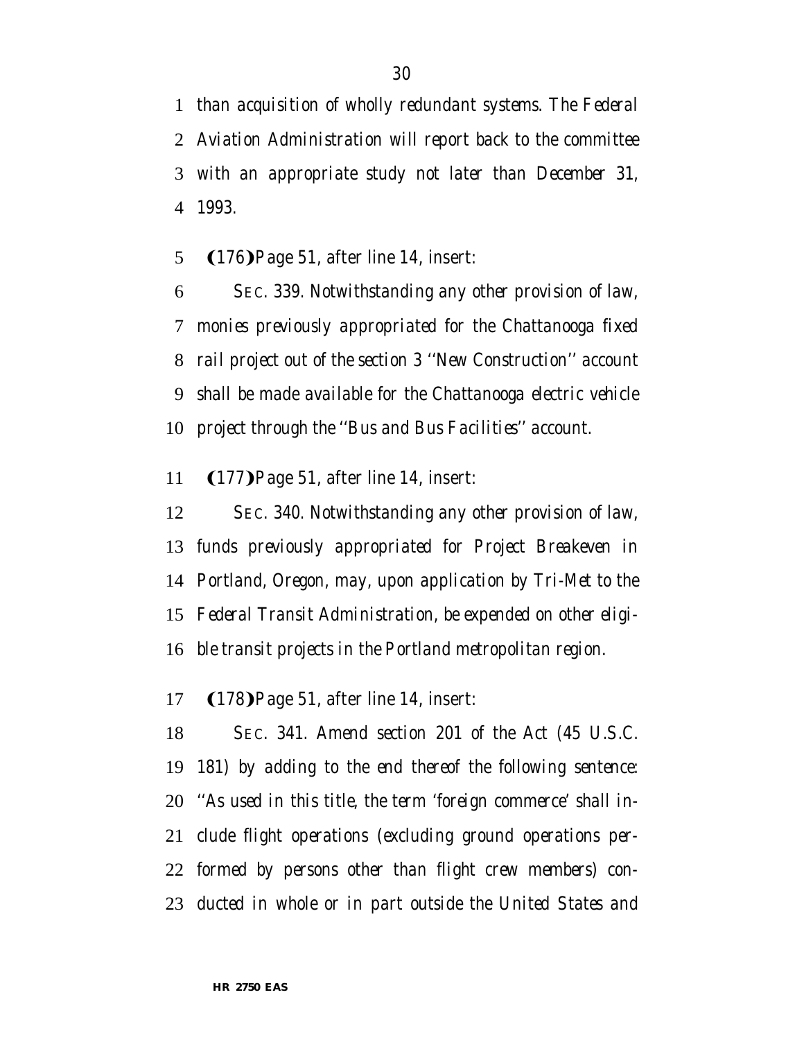*than acquisition of wholly redundant systems. The Federal Aviation Administration will report back to the committee with an appropriate study not later than December 31, 1993.*

#### 5 (176) Page 51, after line 14, insert:

 *SEC. 339. Notwithstanding any other provision of law, monies previously appropriated for the Chattanooga fixed rail project out of the section 3 ''New Construction'' account shall be made available for the Chattanooga electric vehicle project through the ''Bus and Bus Facilities'' account.*

#### **(177)** Page 51, after line 14, insert:

 *SEC. 340. Notwithstanding any other provision of law, funds previously appropriated for Project Breakeven in Portland, Oregon, may, upon application by Tri-Met to the Federal Transit Administration, be expended on other eligi-ble transit projects in the Portland metropolitan region.*

#### 17 (178) Page 51, after line 14, insert:

 *SEC. 341. Amend section 201 of the Act (45 U.S.C. 181) by adding to the end thereof the following sentence: ''As used in this title, the term 'foreign commerce' shall in- clude flight operations (excluding ground operations per- formed by persons other than flight crew members) con-ducted in whole or in part outside the United States and*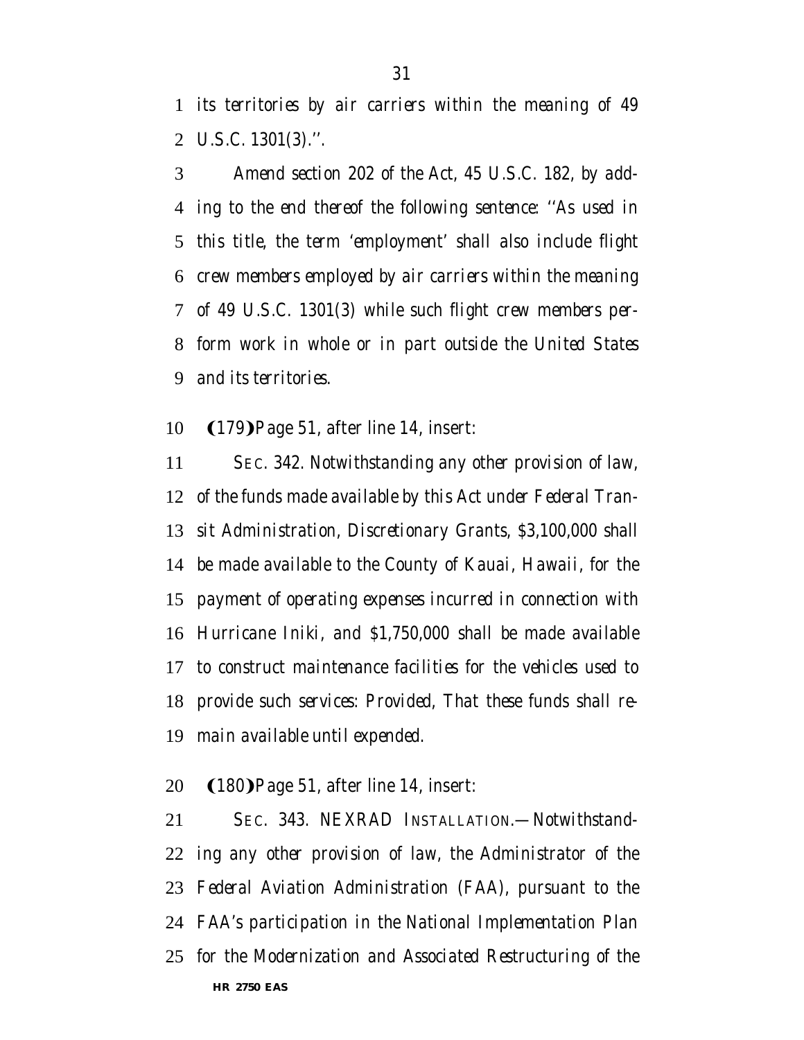*its territories by air carriers within the meaning of 49 U.S.C. 1301(3).''.*

 *Amend section 202 of the Act, 45 U.S.C. 182, by add- ing to the end thereof the following sentence: ''As used in this title, the term 'employment' shall also include flight crew members employed by air carriers within the meaning of 49 U.S.C. 1301(3) while such flight crew members per- form work in whole or in part outside the United States and its territories.*

#### 10 (179) Page 51, after line 14, insert:

 *SEC. 342. Notwithstanding any other provision of law, of the funds made available by this Act under Federal Tran- sit Administration, Discretionary Grants, \$3,100,000 shall be made available to the County of Kauai, Hawaii, for the payment of operating expenses incurred in connection with Hurricane Iniki, and \$1,750,000 shall be made available to construct maintenance facilities for the vehicles used to provide such services: Provided, That these funds shall re-main available until expended.*

#### 20 (180) Page 51, after line 14, insert:

**HR 2750 EAS** *SEC. 343. NEXRAD INSTALLATION.—Notwithstand- ing any other provision of law, the Administrator of the Federal Aviation Administration (FAA), pursuant to the FAA's participation in the National Implementation Plan for the Modernization and Associated Restructuring of the*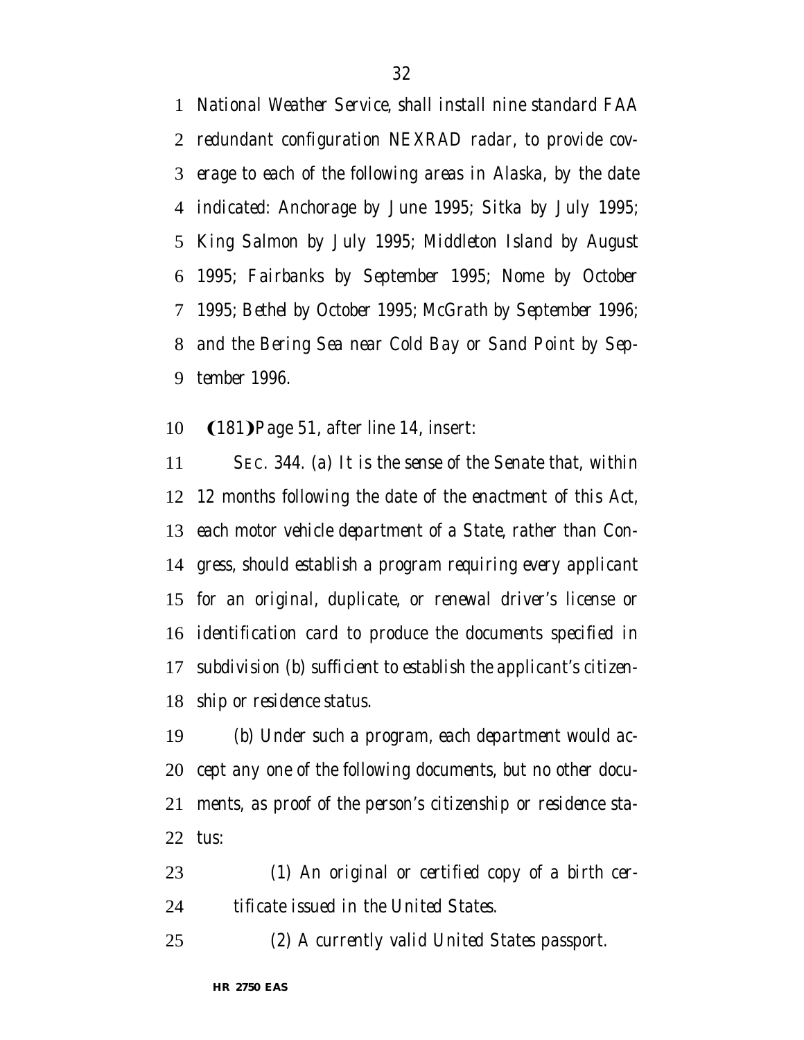*National Weather Service, shall install nine standard FAA redundant configuration NEXRAD radar, to provide cov- erage to each of the following areas in Alaska, by the date indicated: Anchorage by June 1995; Sitka by July 1995; King Salmon by July 1995; Middleton Island by August 1995; Fairbanks by September 1995; Nome by October 1995; Bethel by October 1995; McGrath by September 1996; and the Bering Sea near Cold Bay or Sand Point by Sep-tember 1996.*

#### 10 (181) Page 51, after line 14, insert:

 *SEC. 344. (a) It is the sense of the Senate that, within 12 months following the date of the enactment of this Act, each motor vehicle department of a State, rather than Con- gress, should establish a program requiring every applicant for an original, duplicate, or renewal driver's license or identification card to produce the documents specified in subdivision (b) sufficient to establish the applicant's citizen-ship or residence status.*

 *(b) Under such a program, each department would ac- cept any one of the following documents, but no other docu- ments, as proof of the person's citizenship or residence sta-tus:*

 *(1) An original or certified copy of a birth cer-tificate issued in the United States.*

*(2) A currently valid United States passport.*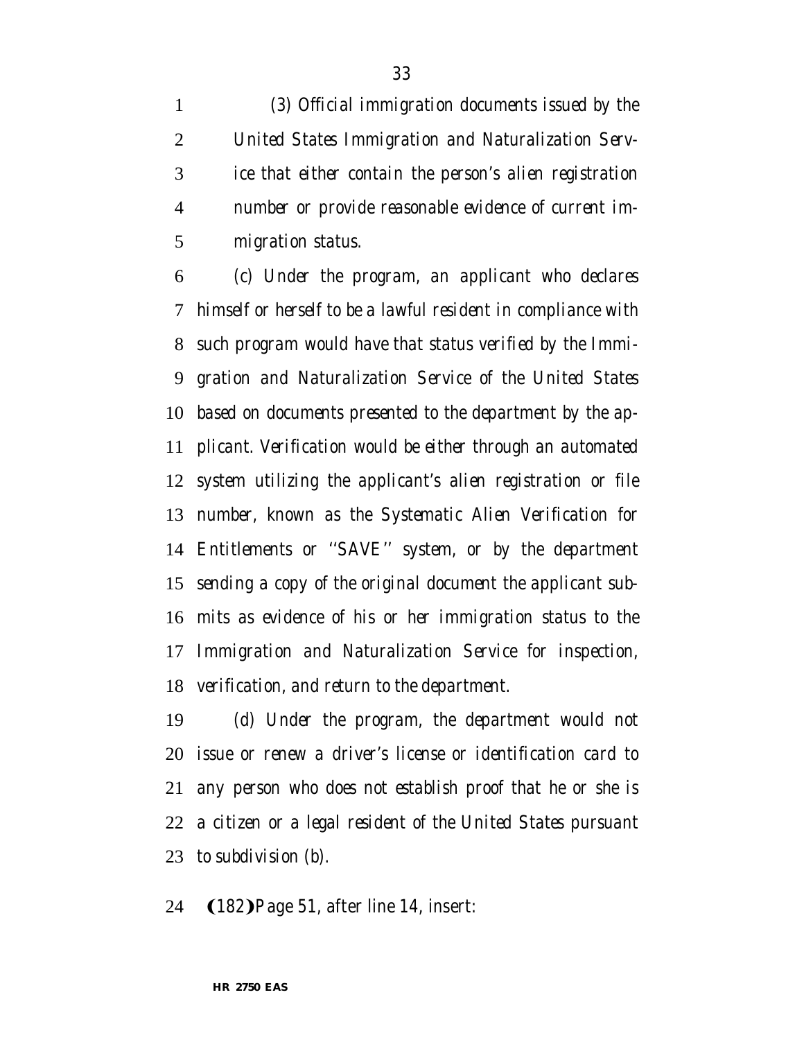*(3) Official immigration documents issued by the United States Immigration and Naturalization Serv- ice that either contain the person's alien registration number or provide reasonable evidence of current im-migration status.*

 *(c) Under the program, an applicant who declares himself or herself to be a lawful resident in compliance with such program would have that status verified by the Immi- gration and Naturalization Service of the United States based on documents presented to the department by the ap- plicant. Verification would be either through an automated system utilizing the applicant's alien registration or file number, known as the Systematic Alien Verification for Entitlements or ''SAVE'' system, or by the department sending a copy of the original document the applicant sub- mits as evidence of his or her immigration status to the Immigration and Naturalization Service for inspection, verification, and return to the department.*

 *(d) Under the program, the department would not issue or renew a driver's license or identification card to any person who does not establish proof that he or she is a citizen or a legal resident of the United States pursuant to subdivision (b).*

24 (182) Page 51, after line 14, insert: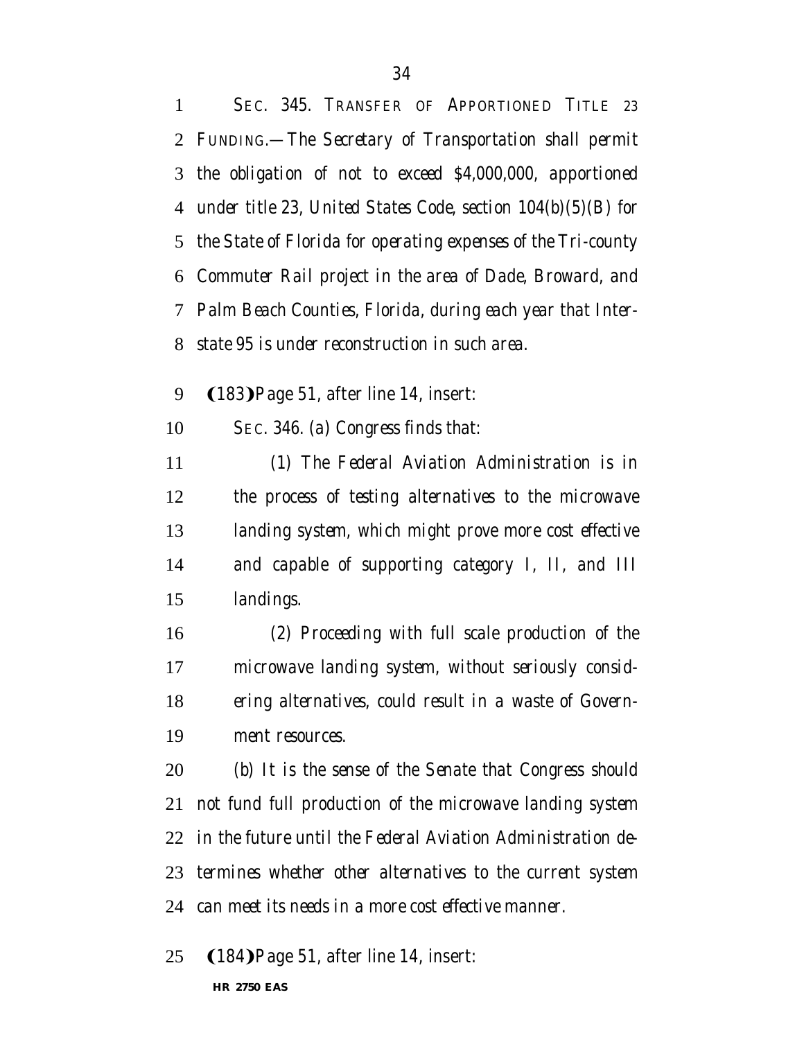*SEC. 345. TRANSFER OF APPORTIONED TITLE 23 FUNDING.—The Secretary of Transportation shall permit the obligation of not to exceed \$4,000,000, apportioned under title 23, United States Code, section 104(b)(5)(B) for the State of Florida for operating expenses of the Tri-county Commuter Rail project in the area of Dade, Broward, and Palm Beach Counties, Florida, during each year that Inter- state 95 is under reconstruction in such area.* 9 (183) Page 51, after line 14, insert:

*SEC. 346. (a) Congress finds that:*

 *(1) The Federal Aviation Administration is in the process of testing alternatives to the microwave landing system, which might prove more cost effective and capable of supporting category I, II, and III landings.*

 *(2) Proceeding with full scale production of the microwave landing system, without seriously consid- ering alternatives, could result in a waste of Govern-ment resources.*

 *(b) It is the sense of the Senate that Congress should not fund full production of the microwave landing system in the future until the Federal Aviation Administration de- termines whether other alternatives to the current system can meet its needs in a more cost effective manner.*

25 (184) Page 51, after line 14, insert: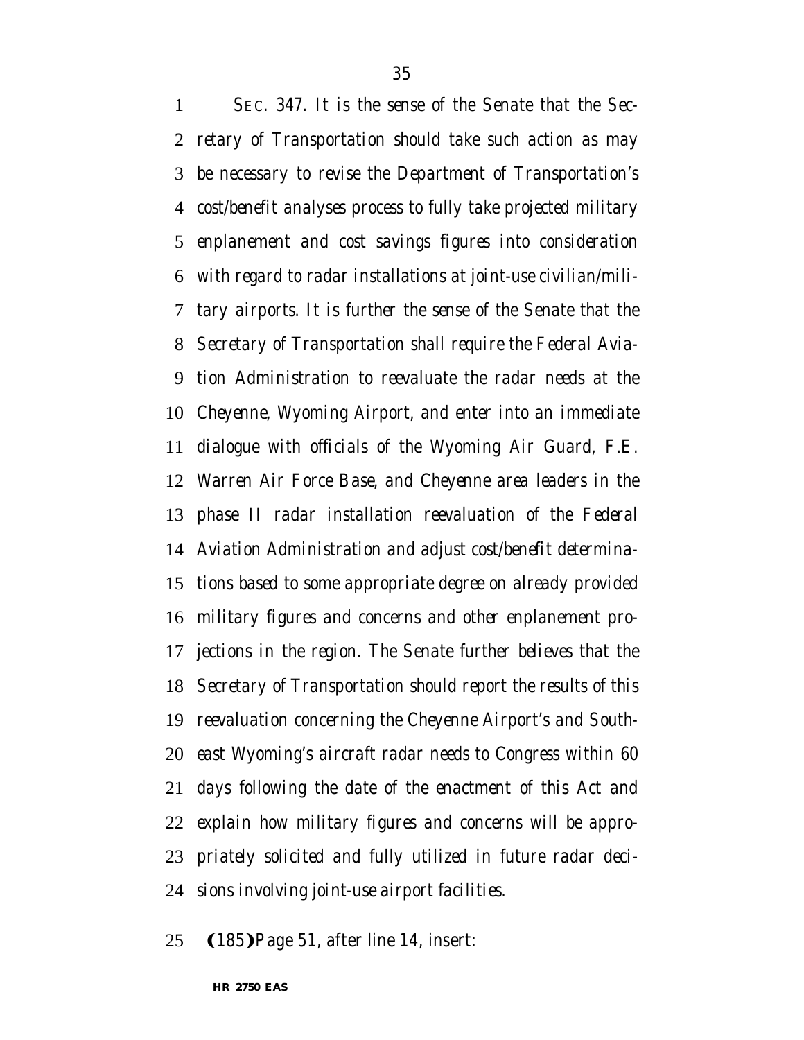*SEC. 347. It is the sense of the Senate that the Sec-*

 *retary of Transportation should take such action as may be necessary to revise the Department of Transportation's cost/benefit analyses process to fully take projected military enplanement and cost savings figures into consideration with regard to radar installations at joint-use civilian/mili- tary airports. It is further the sense of the Senate that the Secretary of Transportation shall require the Federal Avia- tion Administration to reevaluate the radar needs at the Cheyenne, Wyoming Airport, and enter into an immediate dialogue with officials of the Wyoming Air Guard, F.E. Warren Air Force Base, and Cheyenne area leaders in the phase II radar installation reevaluation of the Federal Aviation Administration and adjust cost/benefit determina- tions based to some appropriate degree on already provided military figures and concerns and other enplanement pro- jections in the region. The Senate further believes that the Secretary of Transportation should report the results of this reevaluation concerning the Cheyenne Airport's and South- east Wyoming's aircraft radar needs to Congress within 60 days following the date of the enactment of this Act and explain how military figures and concerns will be appro- priately solicited and fully utilized in future radar deci-sions involving joint-use airport facilities.*

25 (185) Page 51, after line 14, insert: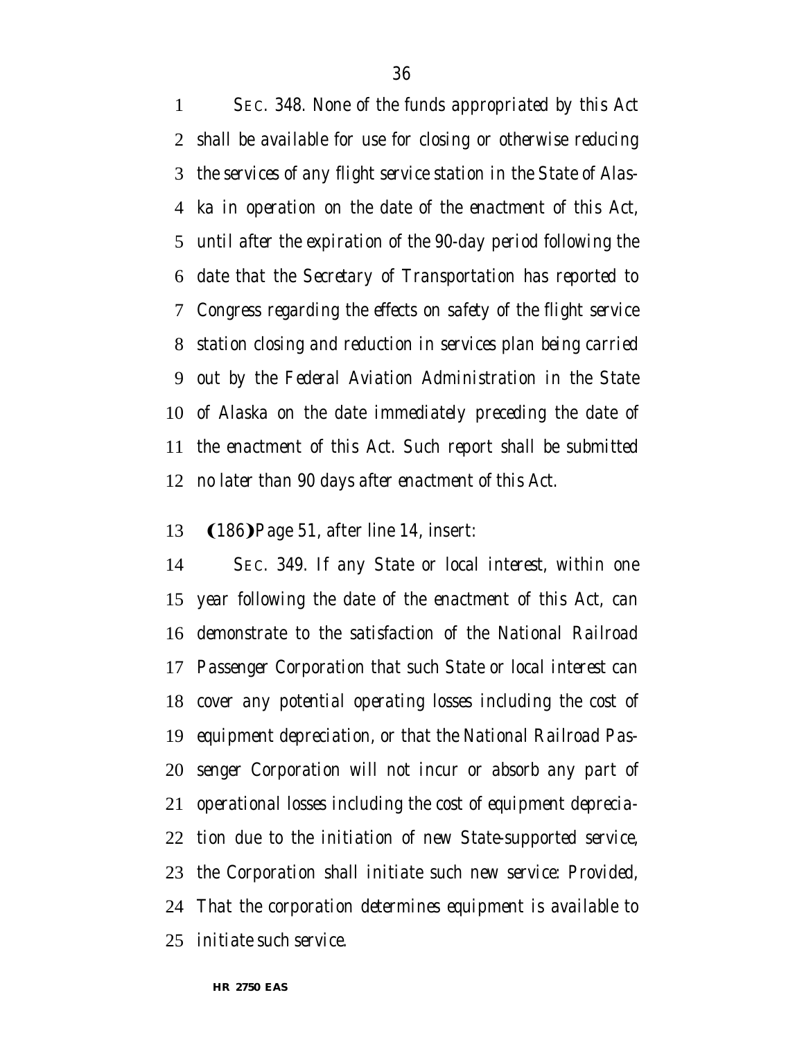*SEC. 348. None of the funds appropriated by this Act shall be available for use for closing or otherwise reducing the services of any flight service station in the State of Alas- ka in operation on the date of the enactment of this Act, until after the expiration of the 90-day period following the date that the Secretary of Transportation has reported to Congress regarding the effects on safety of the flight service station closing and reduction in services plan being carried out by the Federal Aviation Administration in the State of Alaska on the date immediately preceding the date of the enactment of this Act. Such report shall be submitted no later than 90 days after enactment of this Act.*

#### 13 (186) Page 51, after line 14, insert:

 *SEC. 349. If any State or local interest, within one year following the date of the enactment of this Act, can demonstrate to the satisfaction of the National Railroad Passenger Corporation that such State or local interest can cover any potential operating losses including the cost of equipment depreciation, or that the National Railroad Pas- senger Corporation will not incur or absorb any part of operational losses including the cost of equipment deprecia- tion due to the initiation of new State-supported service, the Corporation shall initiate such new service: Provided, That the corporation determines equipment is available to initiate such service.*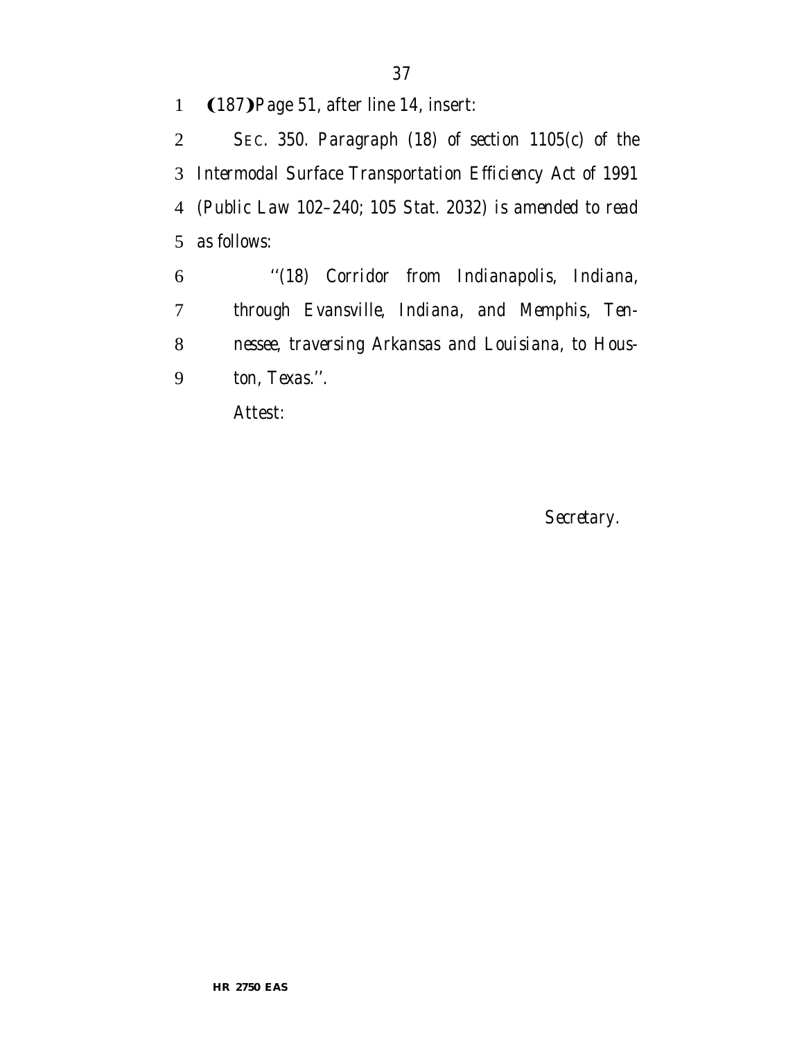### 1 (187) Page 51, after line 14, insert:

 *SEC. 350. Paragraph (18) of section 1105(c) of the Intermodal Surface Transportation Efficiency Act of 1991 (Public Law 102–240; 105 Stat. 2032) is amended to read as follows:*

 *''(18) Corridor from Indianapolis, Indiana, through Evansville, Indiana, and Memphis, Ten- nessee, traversing Arkansas and Louisiana, to Hous-ton, Texas.''.*

Attest:

*Secretary.*